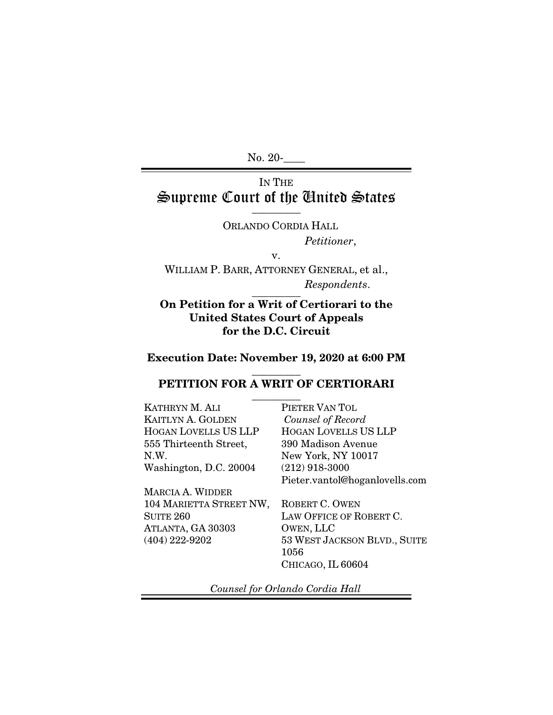No. 20-

### IN THE Supreme Court of the United States  $\frac{1}{\sqrt{2}}$

ORLANDO CORDIA HALL *Petitioner*,

v.

WILLIAM P. BARR, ATTORNEY GENERAL, et al., *Respondents*.  $\overline{\phantom{a}}$  . The set of  $\overline{\phantom{a}}$ 

## On Petition for a Writ of Certiorari to the United States Court of Appeals for the D.C. Circuit

#### Execution Date: November 19, 2020 at 6:00 PM

#### $\overline{\phantom{a}}$  ,  $\overline{\phantom{a}}$ PETITION FOR A WRIT OF CERTIORARI

 $\overline{\phantom{a}}$  . The set of  $\overline{\phantom{a}}$ KATHRYN M. ALI KAITLYN A. GOLDEN HOGAN LOVELLS US LLP 555 Thirteenth Street, N.W. Washington, D.C. 20004

MARCIA A. WIDDER 104 MARIETTA STREET NW, **SUITE 260** ATLANTA, GA 30303 (404) 222-9202

PIETER VAN TOL  *Counsel of Record*  HOGAN LOVELLS US LLP 390 Madison Avenue New York, NY 10017 (212) 918-3000 Pieter.vantol@hoganlovells.com

ROBERT C. OWEN LAW OFFICE OF ROBERT C. OWEN, LLC 53 WEST JACKSON BLVD., SUITE 1056 CHICAGO, IL 60604

*Counsel for Orlando Cordia Hall*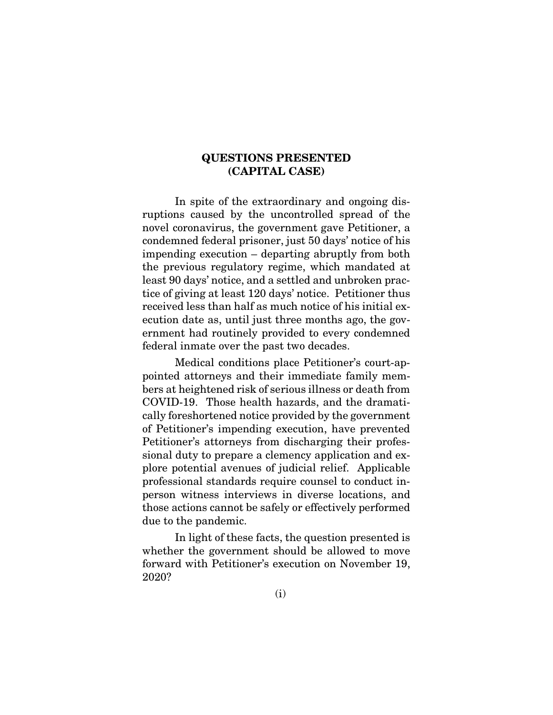#### QUESTIONS PRESENTED (CAPITAL CASE)

In spite of the extraordinary and ongoing disruptions caused by the uncontrolled spread of the novel coronavirus, the government gave Petitioner, a condemned federal prisoner, just 50 days' notice of his impending execution – departing abruptly from both the previous regulatory regime, which mandated at least 90 days' notice, and a settled and unbroken practice of giving at least 120 days' notice. Petitioner thus received less than half as much notice of his initial execution date as, until just three months ago, the government had routinely provided to every condemned federal inmate over the past two decades.

Medical conditions place Petitioner's court-appointed attorneys and their immediate family members at heightened risk of serious illness or death from COVID-19. Those health hazards, and the dramatically foreshortened notice provided by the government of Petitioner's impending execution, have prevented Petitioner's attorneys from discharging their professional duty to prepare a clemency application and explore potential avenues of judicial relief. Applicable professional standards require counsel to conduct inperson witness interviews in diverse locations, and those actions cannot be safely or effectively performed due to the pandemic.

In light of these facts, the question presented is whether the government should be allowed to move forward with Petitioner's execution on November 19, 2020?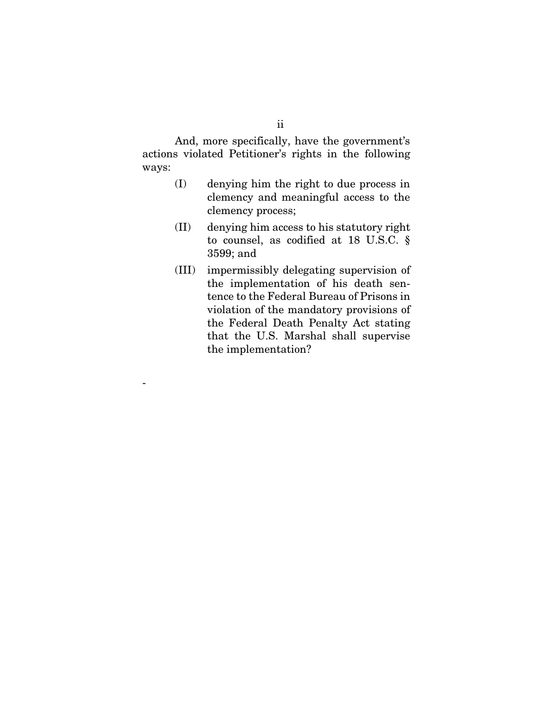And, more specifically, have the government's actions violated Petitioner's rights in the following ways:

- (I) denying him the right to due process in clemency and meaningful access to the clemency process;
- (II) denying him access to his statutory right to counsel, as codified at 18 U.S.C. § 3599; and
- (III) impermissibly delegating supervision of the implementation of his death sentence to the Federal Bureau of Prisons in violation of the mandatory provisions of the Federal Death Penalty Act stating that the U.S. Marshal shall supervise the implementation?

-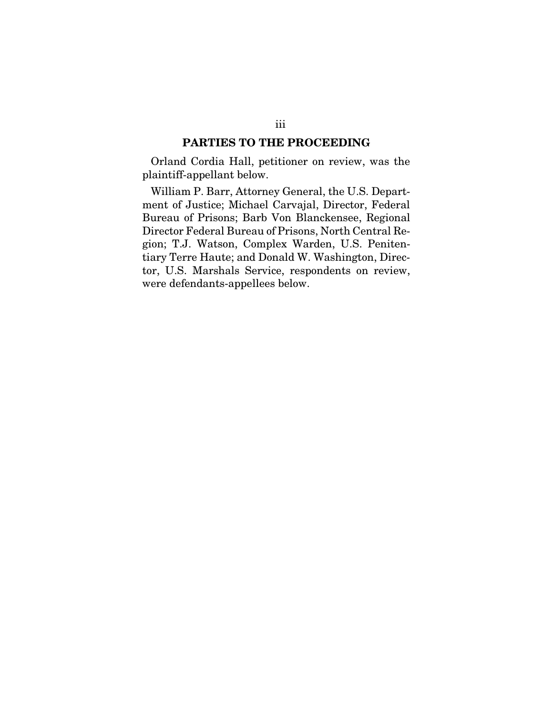#### PARTIES TO THE PROCEEDING

Orland Cordia Hall, petitioner on review, was the plaintiff-appellant below.

William P. Barr, Attorney General, the U.S. Department of Justice; Michael Carvajal, Director, Federal Bureau of Prisons; Barb Von Blanckensee, Regional Director Federal Bureau of Prisons, North Central Region; T.J. Watson, Complex Warden, U.S. Penitentiary Terre Haute; and Donald W. Washington, Director, U.S. Marshals Service, respondents on review, were defendants-appellees below.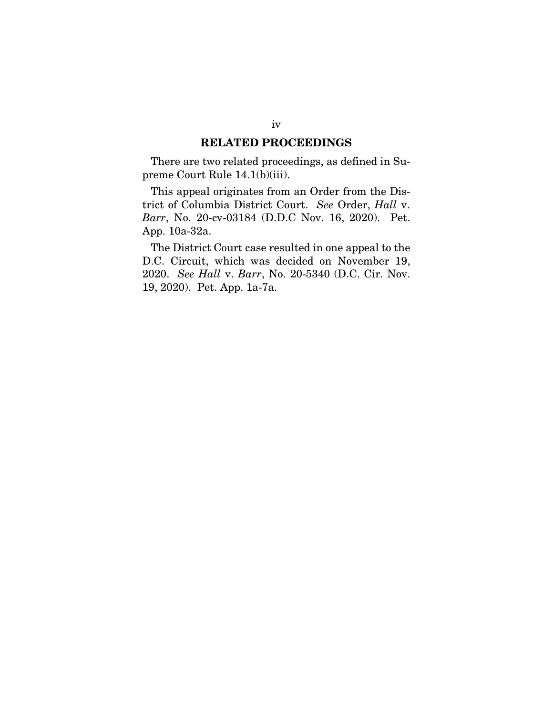#### RELATED PROCEEDINGS

There are two related proceedings, as defined in Supreme Court Rule 14.1(b)(iii).

This appeal originates from an Order from the District of Columbia District Court. *See* Order, *Hall* v. *Barr*, No. 20-cv-03184 (D.D.C Nov. 16, 2020). Pet. App. 10a-32a.

The District Court case resulted in one appeal to the D.C. Circuit, which was decided on November 19, 2020. *See Hall* v. *Barr*, No. 20-5340 (D.C. Cir. Nov. 19, 2020). Pet. App. 1a-7a.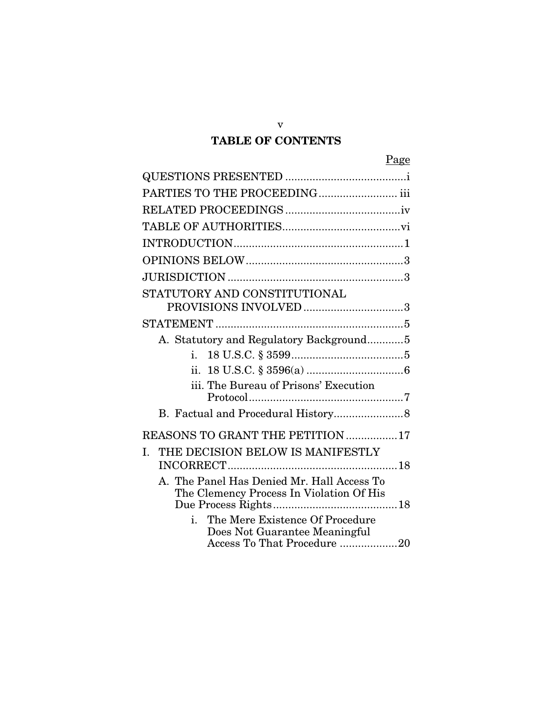## TABLE OF CONTENTS

v

| PARTIES TO THE PROCEEDING iii                                                                   |  |
|-------------------------------------------------------------------------------------------------|--|
|                                                                                                 |  |
|                                                                                                 |  |
|                                                                                                 |  |
|                                                                                                 |  |
|                                                                                                 |  |
| STATUTORY AND CONSTITUTIONAL                                                                    |  |
| PROVISIONS INVOLVED3                                                                            |  |
|                                                                                                 |  |
| A. Statutory and Regulatory Background5                                                         |  |
| i.                                                                                              |  |
|                                                                                                 |  |
| iii. The Bureau of Prisons' Execution                                                           |  |
|                                                                                                 |  |
| REASONS TO GRANT THE PETITION 17                                                                |  |
| THE DECISION BELOW IS MANIFESTLY<br>L.                                                          |  |
| A. The Panel Has Denied Mr. Hall Access To<br>The Clemency Process In Violation Of His          |  |
| The Mere Existence Of Procedure<br>Does Not Guarantee Meaningful<br>Access To That Procedure 20 |  |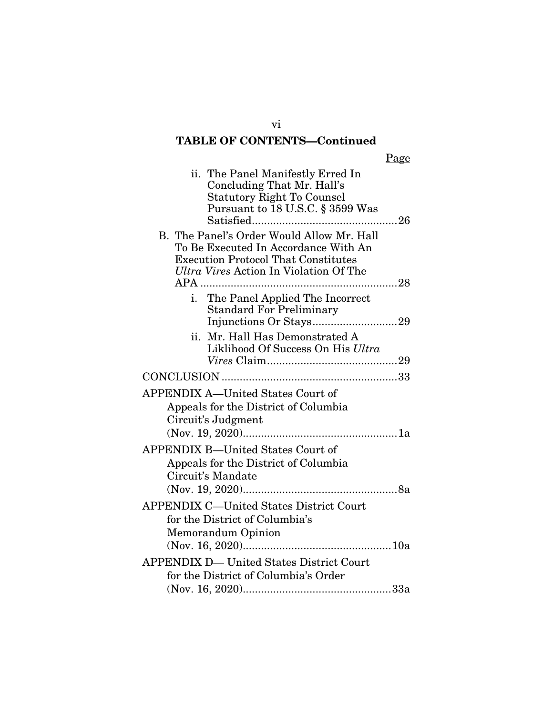# TABLE OF CONTENTS—Continued

|--|

| ii. The Panel Manifestly Erred In<br>Concluding That Mr. Hall's<br><b>Statutory Right To Counsel</b><br>Pursuant to 18 U.S.C. § 3599 Was<br>26                                   |
|----------------------------------------------------------------------------------------------------------------------------------------------------------------------------------|
| B. The Panel's Order Would Allow Mr. Hall<br>To Be Executed In Accordance With An<br><b>Execution Protocol That Constitutes</b><br>Ultra Vires Action In Violation Of The<br>APA |
| The Panel Applied The Incorrect<br>i.<br><b>Standard For Preliminary</b>                                                                                                         |
| Mr. Hall Has Demonstrated A<br>ii.<br>Liklihood Of Success On His Ultra                                                                                                          |
|                                                                                                                                                                                  |
| <b>APPENDIX A-United States Court of</b><br>Appeals for the District of Columbia<br>Circuit's Judgment                                                                           |
| <b>APPENDIX B-United States Court of</b><br>Appeals for the District of Columbia<br>Circuit's Mandate                                                                            |
| <b>APPENDIX C-United States District Court</b><br>for the District of Columbia's<br>Memorandum Opinion                                                                           |
| APPENDIX D— United States District Court<br>for the District of Columbia's Order                                                                                                 |

vi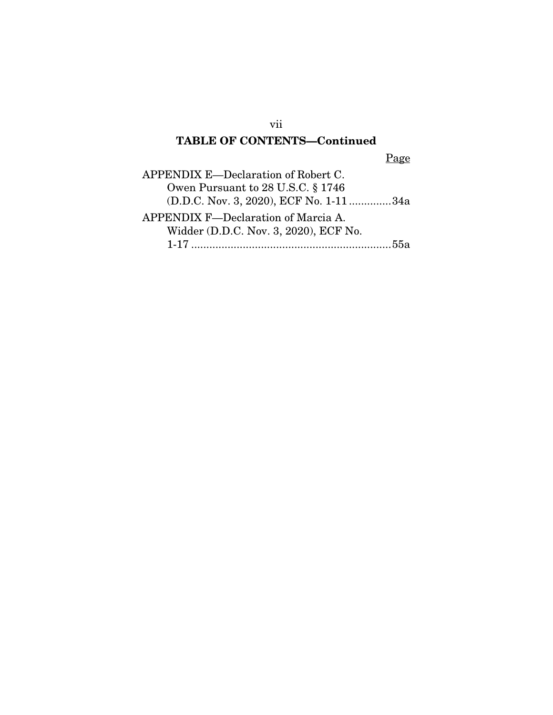## vii

## TABLE OF CONTENTS—Continued

Page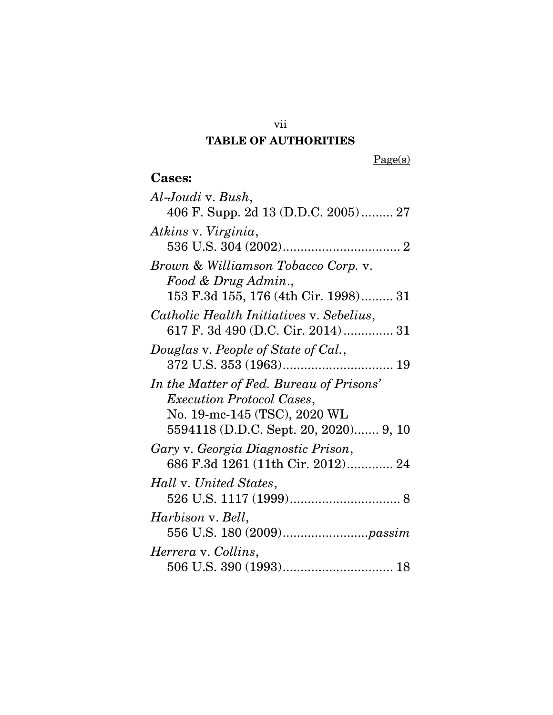## TABLE OF AUTHORITIES

vii

 $Page(s)$ 

# Cases:

| Al-Joudi v. Bush,                        |
|------------------------------------------|
| 406 F. Supp. 2d 13 (D.D.C. 2005) 27      |
|                                          |
| Atkins v. Virginia,                      |
|                                          |
| Brown & Williamson Tobacco Corp. v.      |
| Food & Drug Admin.,                      |
| 153 F.3d 155, 176 (4th Cir. 1998) 31     |
| Catholic Health Initiatives v. Sebelius, |
| 617 F. 3d 490 (D.C. Cir. 2014) 31        |
| Douglas v. People of State of Cal.,      |
|                                          |
| In the Matter of Fed. Bureau of Prisons' |
| <i>Execution Protocol Cases,</i>         |
| No. 19-mc-145 (TSC), 2020 WL             |
| 5594118 (D.D.C. Sept. 20, 2020) 9, 10    |
| Gary v. Georgia Diagnostic Prison,       |
| 686 F.3d 1261 (11th Cir. 2012) 24        |
| Hall v. United States,                   |
|                                          |
|                                          |
| Harbison v. Bell,                        |
|                                          |
| Herrera v. Collins,                      |
|                                          |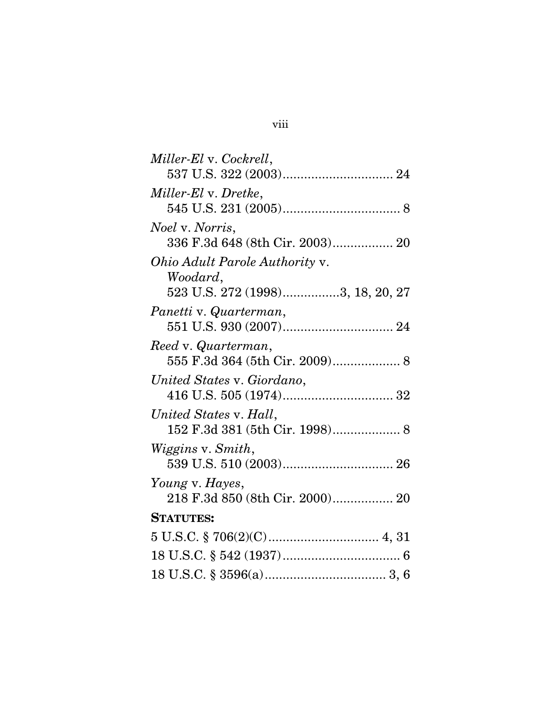| Miller-El v. Cockrell,                |
|---------------------------------------|
|                                       |
| Miller-El v. Dretke,                  |
|                                       |
| <i>Noel</i> v. <i>Norris</i> ,        |
| 336 F.3d 648 (8th Cir. 2003) 20       |
| <i>Ohio Adult Parole Authority v.</i> |
| Woodard,                              |
| 523 U.S. 272 (1998)3, 18, 20, 27      |
| Panetti v. Quarterman,                |
|                                       |
| Reed v. Quarterman,                   |
|                                       |
| United States v. Giordano,            |
|                                       |
| United States v. Hall,                |
| 152 F.3d 381 (5th Cir. 1998) 8        |
| Wiggins v. Smith,                     |
|                                       |
| Young v. Hayes,                       |
| 218 F.3d 850 (8th Cir. 2000) 20       |
| <b>STATUTES:</b>                      |
|                                       |
|                                       |
|                                       |
|                                       |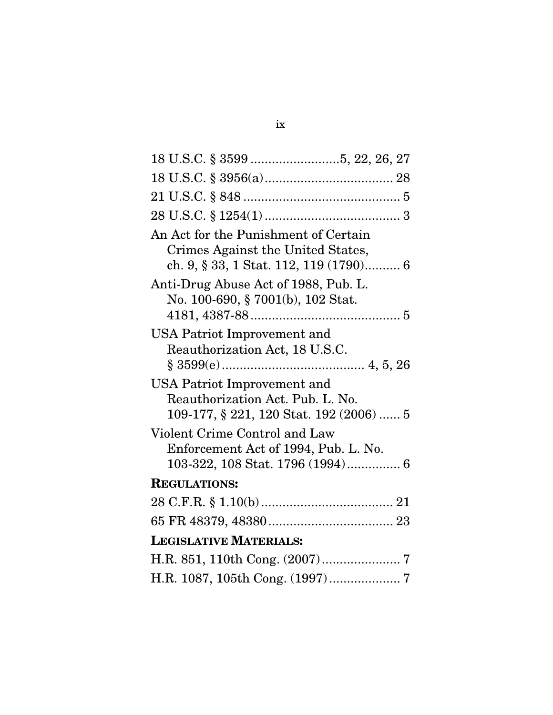| An Act for the Punishment of Certain<br>Crimes Against the United States,<br>ch. 9, § 33, 1 Stat. 112, 119 (1790) 6 |
|---------------------------------------------------------------------------------------------------------------------|
| Anti-Drug Abuse Act of 1988, Pub. L.<br>No. 100-690, § 7001(b), 102 Stat.                                           |
| USA Patriot Improvement and<br>Reauthorization Act, 18 U.S.C.                                                       |
| <b>USA Patriot Improvement and</b><br>Reauthorization Act. Pub. L. No.<br>109-177, § 221, 120 Stat. 192 (2006)  5   |
| Violent Crime Control and Law<br>Enforcement Act of 1994, Pub. L. No.<br>103-322, 108 Stat. 1796 (1994) 6           |
| <b>REGULATIONS:</b>                                                                                                 |
|                                                                                                                     |
|                                                                                                                     |
| <b>LEGISLATIVE MATERIALS:</b>                                                                                       |
|                                                                                                                     |
|                                                                                                                     |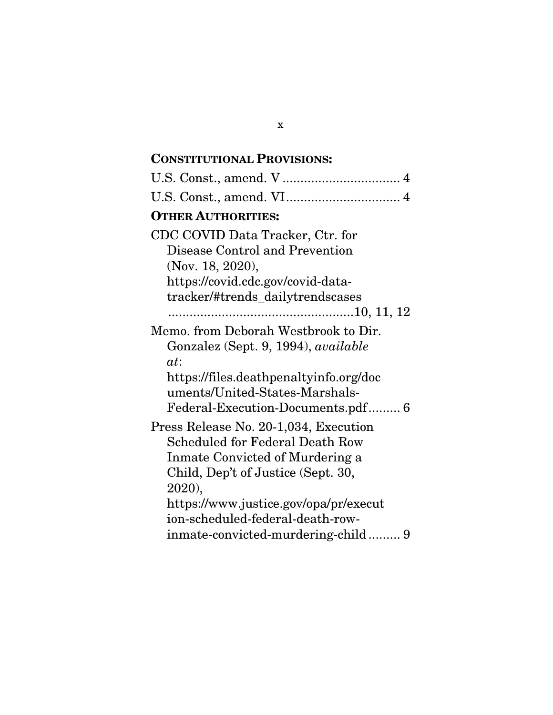## CONSTITUTIONAL PROVISIONS:

| U.S. Const., amend. VI 4                   |
|--------------------------------------------|
| <b>OTHER AUTHORITIES:</b>                  |
| CDC COVID Data Tracker, Ctr. for           |
| Disease Control and Prevention             |
| (Nov. 18, 2020),                           |
| https://covid.cdc.gov/covid-data-          |
| tracker/#trends_dailytrendscases           |
|                                            |
| Memo. from Deborah Westbrook to Dir.       |
| Gonzalez (Sept. 9, 1994), <i>available</i> |
| at:                                        |
| https://files.deathpenaltyinfo.org/doc     |
| uments/United-States-Marshals-             |
| Federal-Execution-Documents.pdf 6          |
| Press Release No. 20-1,034, Execution      |
| <b>Scheduled for Federal Death Row</b>     |
| Inmate Convicted of Murdering a            |
| Child, Dep't of Justice (Sept. 30,         |
| 2020),                                     |
| https://www.justice.gov/opa/pr/execut      |
| ion-scheduled-federal-death-row-           |
|                                            |

x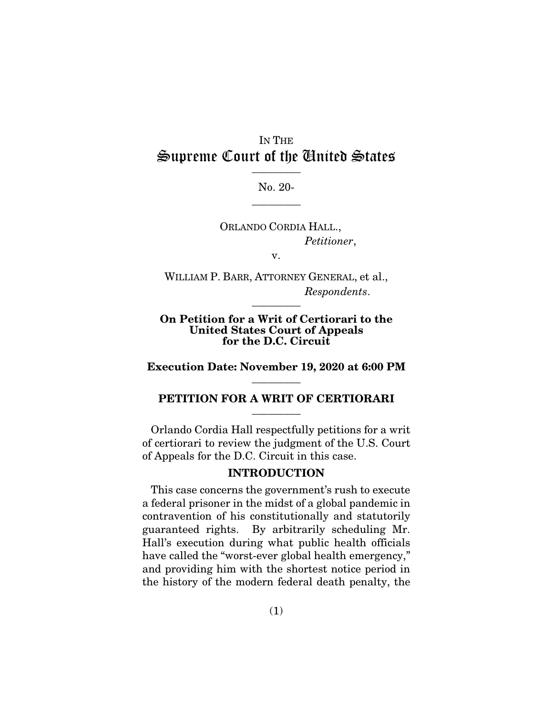## IN THE Supreme Court of the United States  $\frac{1}{\sqrt{2}}$

No. 20-  $\overline{\phantom{a}}$  . The set of  $\overline{\phantom{a}}$ 

ORLANDO CORDIA HALL., *Petitioner*,

v.

WILLIAM P. BARR, ATTORNEY GENERAL, et al., *Respondents*.  $\overline{\phantom{a}}$  . The set of  $\overline{\phantom{a}}$ 

#### On Petition for a Writ of Certiorari to the United States Court of Appeals for the D.C. Circuit

Execution Date: November 19, 2020 at 6:00 PM  $\overline{\phantom{a}}$  . The set of  $\overline{\phantom{a}}$ 

#### PETITION FOR A WRIT OF CERTIORARI  $\overline{\phantom{a}}$  . The set of  $\overline{\phantom{a}}$

Orlando Cordia Hall respectfully petitions for a writ of certiorari to review the judgment of the U.S. Court of Appeals for the D.C. Circuit in this case.

#### INTRODUCTION

This case concerns the government's rush to execute a federal prisoner in the midst of a global pandemic in contravention of his constitutionally and statutorily guaranteed rights. By arbitrarily scheduling Mr. Hall's execution during what public health officials have called the "worst-ever global health emergency," and providing him with the shortest notice period in the history of the modern federal death penalty, the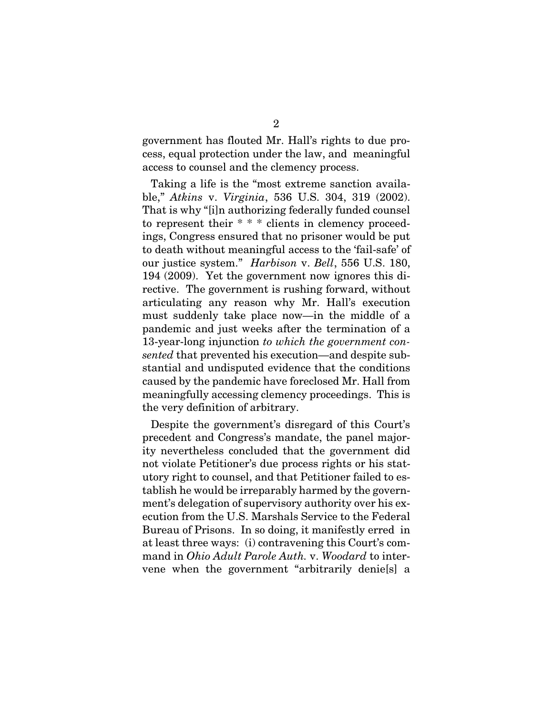government has flouted Mr. Hall's rights to due process, equal protection under the law, and meaningful access to counsel and the clemency process.

Taking a life is the "most extreme sanction available," *Atkins* v. *Virginia*, 536 U.S. 304, 319 (2002). That is why "[i]n authorizing federally funded counsel to represent their \* \* \* clients in clemency proceedings, Congress ensured that no prisoner would be put to death without meaningful access to the 'fail-safe' of our justice system." *Harbison* v. *Bell*, 556 U.S. 180, 194 (2009). Yet the government now ignores this directive. The government is rushing forward, without articulating any reason why Mr. Hall's execution must suddenly take place now—in the middle of a pandemic and just weeks after the termination of a 13-year-long injunction *to which the government consented* that prevented his execution—and despite substantial and undisputed evidence that the conditions caused by the pandemic have foreclosed Mr. Hall from meaningfully accessing clemency proceedings. This is the very definition of arbitrary.

Despite the government's disregard of this Court's precedent and Congress's mandate, the panel majority nevertheless concluded that the government did not violate Petitioner's due process rights or his statutory right to counsel, and that Petitioner failed to establish he would be irreparably harmed by the government's delegation of supervisory authority over his execution from the U.S. Marshals Service to the Federal Bureau of Prisons. In so doing, it manifestly erred in at least three ways: (i) contravening this Court's command in *Ohio Adult Parole Auth.* v. *Woodard* to intervene when the government "arbitrarily denie[s] a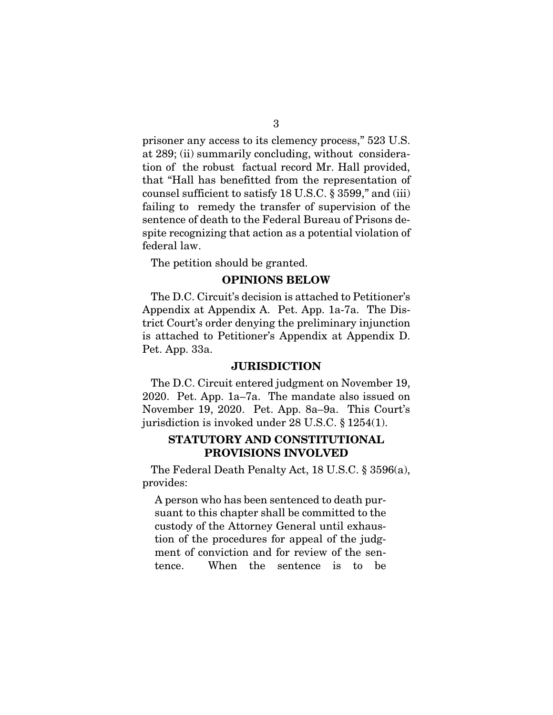prisoner any access to its clemency process," 523 U.S. at 289; (ii) summarily concluding, without consideration of the robust factual record Mr. Hall provided, that "Hall has benefitted from the representation of counsel sufficient to satisfy 18 U.S.C. § 3599," and (iii) failing to remedy the transfer of supervision of the sentence of death to the Federal Bureau of Prisons despite recognizing that action as a potential violation of federal law.

The petition should be granted.

#### OPINIONS BELOW

The D.C. Circuit's decision is attached to Petitioner's Appendix at Appendix A. Pet. App. 1a-7a. The District Court's order denying the preliminary injunction is attached to Petitioner's Appendix at Appendix D. Pet. App. 33a.

#### **JURISDICTION**

The D.C. Circuit entered judgment on November 19, 2020. Pet. App. 1a–7a. The mandate also issued on November 19, 2020. Pet. App. 8a–9a. This Court's jurisdiction is invoked under 28 U.S.C. § 1254(1).

#### STATUTORY AND CONSTITUTIONAL PROVISIONS INVOLVED

The Federal Death Penalty Act, 18 U.S.C. § 3596(a), provides:

A person who has been sentenced to death pursuant to this chapter shall be committed to the custody of the Attorney General until exhaustion of the procedures for appeal of the judgment of conviction and for review of the sentence. When the sentence is to be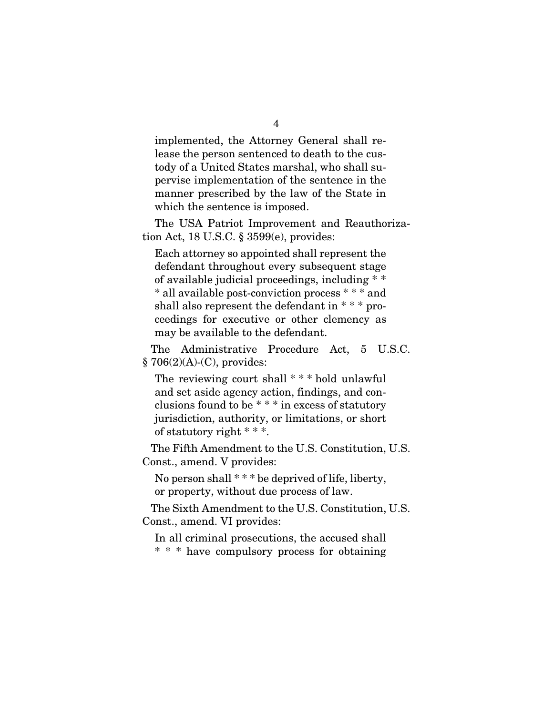implemented, the Attorney General shall release the person sentenced to death to the custody of a United States marshal, who shall supervise implementation of the sentence in the manner prescribed by the law of the State in which the sentence is imposed.

The USA Patriot Improvement and Reauthorization Act, 18 U.S.C. § 3599(e), provides:

Each attorney so appointed shall represent the defendant throughout every subsequent stage of available judicial proceedings, including \* \* \* all available post-conviction process \* \* \* and shall also represent the defendant in  $***$  proceedings for executive or other clemency as may be available to the defendant.

The Administrative Procedure Act, 5 U.S.C.  $§ 706(2)(A)-(C)$ , provides:

The reviewing court shall \* \* \* hold unlawful and set aside agency action, findings, and conclusions found to be \* \* \* in excess of statutory jurisdiction, authority, or limitations, or short of statutory right \* \* \*.

The Fifth Amendment to the U.S. Constitution, U.S. Const., amend. V provides:

No person shall  $***$  be deprived of life, liberty, or property, without due process of law.

The Sixth Amendment to the U.S. Constitution, U.S. Const., amend. VI provides:

In all criminal prosecutions, the accused shall \* \* \* have compulsory process for obtaining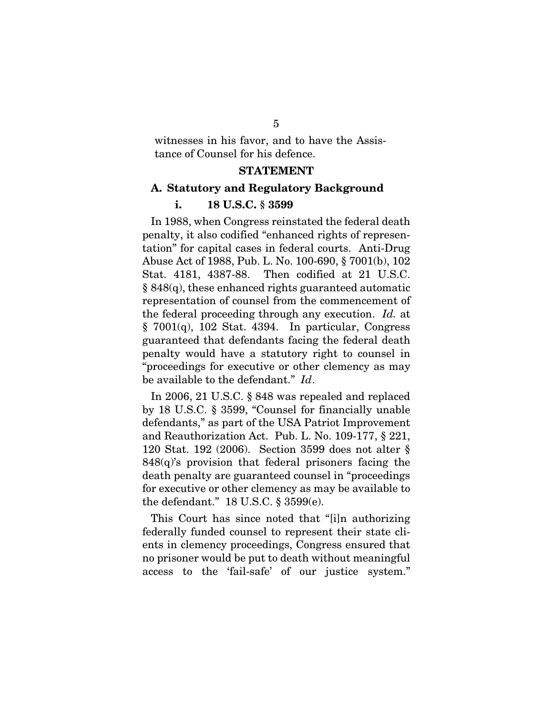witnesses in his favor, and to have the Assistance of Counsel for his defence.

#### **STATEMENT**

#### A. Statutory and Regulatory Background

#### i. 18 U.S.C. § 3599

In 1988, when Congress reinstated the federal death penalty, it also codified "enhanced rights of representation" for capital cases in federal courts. Anti-Drug Abuse Act of 1988, Pub. L. No. 100-690, § 7001(b), 102 Stat. 4181, 4387-88. Then codified at 21 U.S.C. § 848(q), these enhanced rights guaranteed automatic representation of counsel from the commencement of the federal proceeding through any execution. *Id.* at  $§ 7001(q), 102$  Stat. 4394. In particular, Congress guaranteed that defendants facing the federal death penalty would have a statutory right to counsel in "proceedings for executive or other clemency as may be available to the defendant." *Id*.

In 2006, 21 U.S.C. § 848 was repealed and replaced by 18 U.S.C. § 3599, "Counsel for financially unable defendants," as part of the USA Patriot Improvement and Reauthorization Act. Pub. L. No. 109-177, § 221, 120 Stat. 192 (2006). Section 3599 does not alter §  $848(q)$ 's provision that federal prisoners facing the death penalty are guaranteed counsel in "proceedings for executive or other clemency as may be available to the defendant." 18 U.S.C. § 3599(e).

This Court has since noted that "[i]n authorizing federally funded counsel to represent their state clients in clemency proceedings, Congress ensured that no prisoner would be put to death without meaningful access to the 'fail-safe' of our justice system."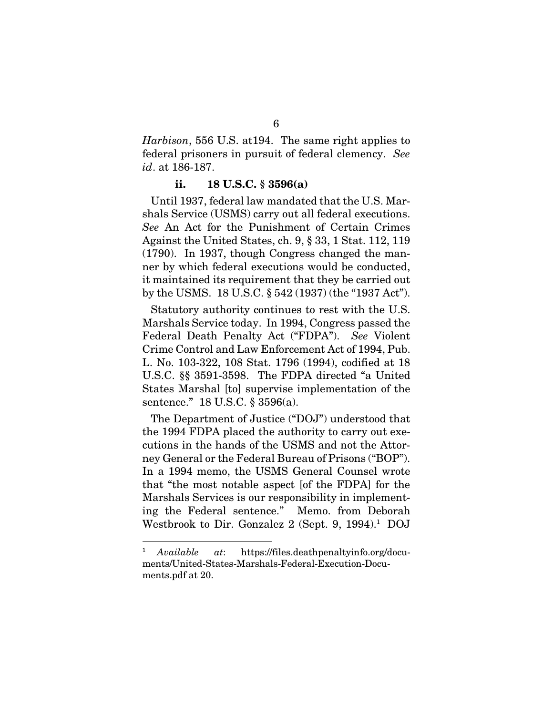*Harbison*, 556 U.S. at194. The same right applies to federal prisoners in pursuit of federal clemency. *See id*. at 186-187.

#### ii. 18 U.S.C. § 3596(a)

Until 1937, federal law mandated that the U.S. Marshals Service (USMS) carry out all federal executions. *See* An Act for the Punishment of Certain Crimes Against the United States, ch. 9, § 33, 1 Stat. 112, 119 (1790). In 1937, though Congress changed the manner by which federal executions would be conducted, it maintained its requirement that they be carried out by the USMS. 18 U.S.C. § 542 (1937) (the "1937 Act").

Statutory authority continues to rest with the U.S. Marshals Service today. In 1994, Congress passed the Federal Death Penalty Act ("FDPA"). *See* Violent Crime Control and Law Enforcement Act of 1994, Pub. L. No. 103-322, 108 Stat. 1796 (1994), codified at 18 U.S.C. §§ 3591-3598. The FDPA directed "a United States Marshal [to] supervise implementation of the sentence." 18 U.S.C. § 3596(a).

The Department of Justice ("DOJ") understood that the 1994 FDPA placed the authority to carry out executions in the hands of the USMS and not the Attorney General or the Federal Bureau of Prisons ("BOP"). In a 1994 memo, the USMS General Counsel wrote that "the most notable aspect [of the FDPA] for the Marshals Services is our responsibility in implementing the Federal sentence." Memo. from Deborah Westbrook to Dir. Gonzalez 2 (Sept. 9, 1994).<sup>1</sup> DOJ

<sup>1</sup> *Available at*: https://files.deathpenaltyinfo.org/documents/United-States-Marshals-Federal-Execution-Documents.pdf at 20.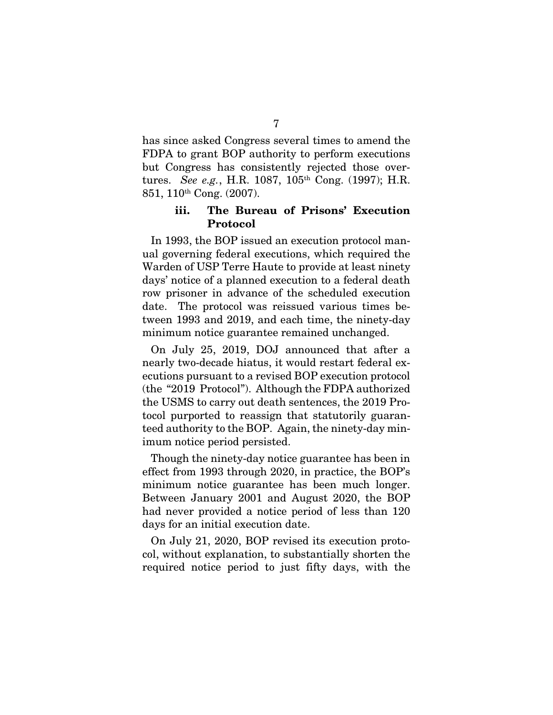has since asked Congress several times to amend the FDPA to grant BOP authority to perform executions but Congress has consistently rejected those overtures. *See e.g.*, H.R. 1087, 105th Cong. (1997); H.R. 851, 110th Cong. (2007).

#### iii. The Bureau of Prisons' Execution Protocol

In 1993, the BOP issued an execution protocol manual governing federal executions, which required the Warden of USP Terre Haute to provide at least ninety days' notice of a planned execution to a federal death row prisoner in advance of the scheduled execution date. The protocol was reissued various times between 1993 and 2019, and each time, the ninety-day minimum notice guarantee remained unchanged.

On July 25, 2019, DOJ announced that after a nearly two-decade hiatus, it would restart federal executions pursuant to a revised BOP execution protocol (the "2019 Protocol"). Although the FDPA authorized the USMS to carry out death sentences, the 2019 Protocol purported to reassign that statutorily guaranteed authority to the BOP. Again, the ninety-day minimum notice period persisted.

Though the ninety-day notice guarantee has been in effect from 1993 through 2020, in practice, the BOP's minimum notice guarantee has been much longer. Between January 2001 and August 2020, the BOP had never provided a notice period of less than 120 days for an initial execution date.

On July 21, 2020, BOP revised its execution protocol, without explanation, to substantially shorten the required notice period to just fifty days, with the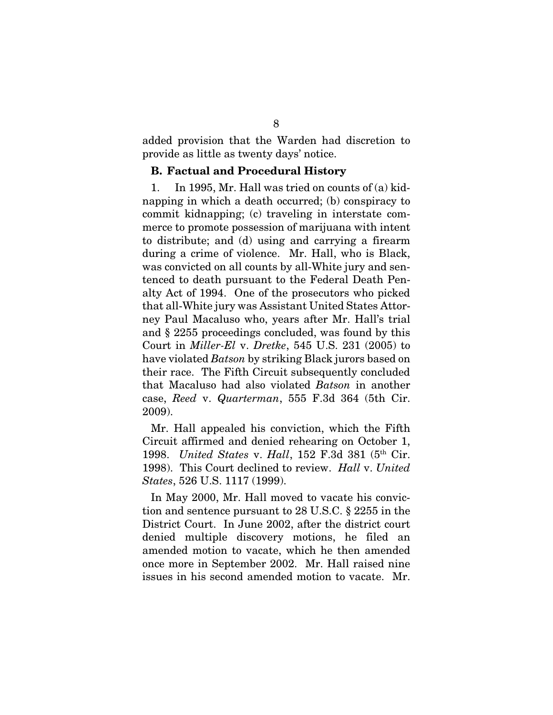added provision that the Warden had discretion to provide as little as twenty days' notice.

#### B. Factual and Procedural History

1. In 1995, Mr. Hall was tried on counts of (a) kidnapping in which a death occurred; (b) conspiracy to commit kidnapping; (c) traveling in interstate commerce to promote possession of marijuana with intent to distribute; and (d) using and carrying a firearm during a crime of violence. Mr. Hall, who is Black, was convicted on all counts by all-White jury and sentenced to death pursuant to the Federal Death Penalty Act of 1994. One of the prosecutors who picked that all-White jury was Assistant United States Attorney Paul Macaluso who, years after Mr. Hall's trial and § 2255 proceedings concluded, was found by this Court in *Miller-El* v. *Dretke*, 545 U.S. 231 (2005) to have violated *Batson* by striking Black jurors based on their race. The Fifth Circuit subsequently concluded that Macaluso had also violated *Batson* in another case, *Reed* v. *Quarterman*, 555 F.3d 364 (5th Cir. 2009).

Mr. Hall appealed his conviction, which the Fifth Circuit affirmed and denied rehearing on October 1, 1998. *United States* v. *Hall*, 152 F.3d 381 (5th Cir. 1998). This Court declined to review. *Hall* v. *United States*, 526 U.S. 1117 (1999).

In May 2000, Mr. Hall moved to vacate his conviction and sentence pursuant to 28 U.S.C. § 2255 in the District Court. In June 2002, after the district court denied multiple discovery motions, he filed an amended motion to vacate, which he then amended once more in September 2002. Mr. Hall raised nine issues in his second amended motion to vacate. Mr.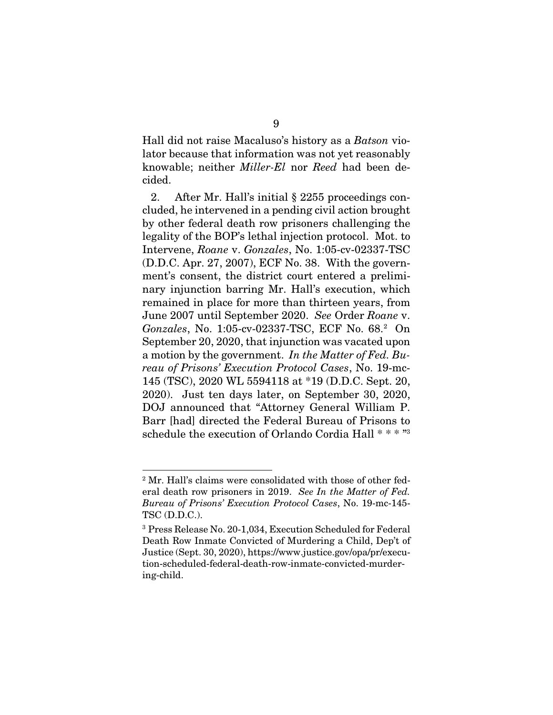Hall did not raise Macaluso's history as a *Batson* violator because that information was not yet reasonably knowable; neither *Miller-El* nor *Reed* had been decided.

2. After Mr. Hall's initial § 2255 proceedings concluded, he intervened in a pending civil action brought by other federal death row prisoners challenging the legality of the BOP's lethal injection protocol. Mot. to Intervene, *Roane* v. *Gonzales*, No. 1:05-cv-02337-TSC (D.D.C. Apr. 27, 2007), ECF No. 38. With the government's consent, the district court entered a preliminary injunction barring Mr. Hall's execution, which remained in place for more than thirteen years, from June 2007 until September 2020. *See* Order *Roane* v. *Gonzales*, No. 1:05-cv-02337-TSC, ECF No. 68.<sup>2</sup> On September 20, 2020, that injunction was vacated upon a motion by the government. *In the Matter of Fed. Bureau of Prisons' Execution Protocol Cases*, No. 19-mc-145 (TSC), 2020 WL 5594118 at \*19 (D.D.C. Sept. 20, 2020). Just ten days later, on September 30, 2020, DOJ announced that "Attorney General William P. Barr [had] directed the Federal Bureau of Prisons to schedule the execution of Orlando Cordia Hall \* \* \* "<sup>3</sup>

<sup>2</sup> Mr. Hall's claims were consolidated with those of other federal death row prisoners in 2019. *See In the Matter of Fed. Bureau of Prisons' Execution Protocol Cases*, No. 19-mc-145- TSC (D.D.C.).

<sup>3</sup> Press Release No. 20-1,034, Execution Scheduled for Federal Death Row Inmate Convicted of Murdering a Child, Dep't of Justice (Sept. 30, 2020), https://www.justice.gov/opa/pr/execution-scheduled-federal-death-row-inmate-convicted-murdering-child.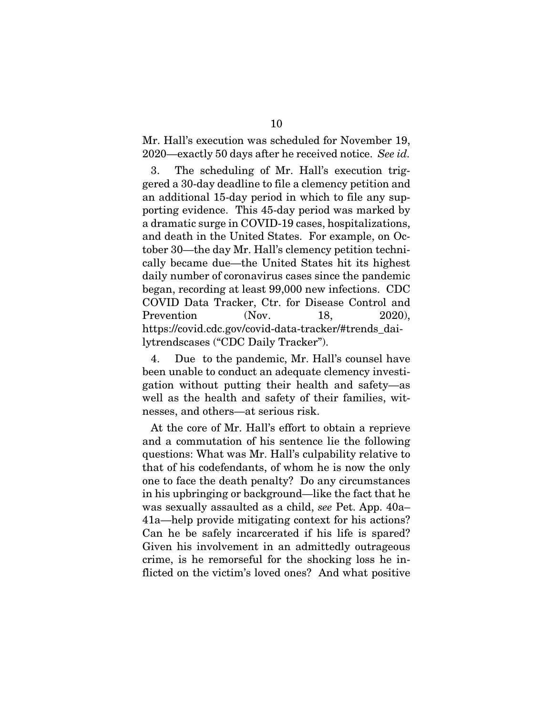Mr. Hall's execution was scheduled for November 19, 2020—exactly 50 days after he received notice. *See id.*

3. The scheduling of Mr. Hall's execution triggered a 30-day deadline to file a clemency petition and an additional 15-day period in which to file any supporting evidence. This 45-day period was marked by a dramatic surge in COVID-19 cases, hospitalizations, and death in the United States. For example, on October 30—the day Mr. Hall's clemency petition technically became due—the United States hit its highest daily number of coronavirus cases since the pandemic began, recording at least 99,000 new infections. CDC COVID Data Tracker, Ctr. for Disease Control and Prevention (Nov. 18, 2020), https://covid.cdc.gov/covid-data-tracker/#trends\_dailytrendscases ("CDC Daily Tracker").

4. Due to the pandemic, Mr. Hall's counsel have been unable to conduct an adequate clemency investigation without putting their health and safety—as well as the health and safety of their families, witnesses, and others—at serious risk.

At the core of Mr. Hall's effort to obtain a reprieve and a commutation of his sentence lie the following questions: What was Mr. Hall's culpability relative to that of his codefendants, of whom he is now the only one to face the death penalty? Do any circumstances in his upbringing or background—like the fact that he was sexually assaulted as a child, *see* Pet. App. 40a– 41a—help provide mitigating context for his actions? Can he be safely incarcerated if his life is spared? Given his involvement in an admittedly outrageous crime, is he remorseful for the shocking loss he inflicted on the victim's loved ones? And what positive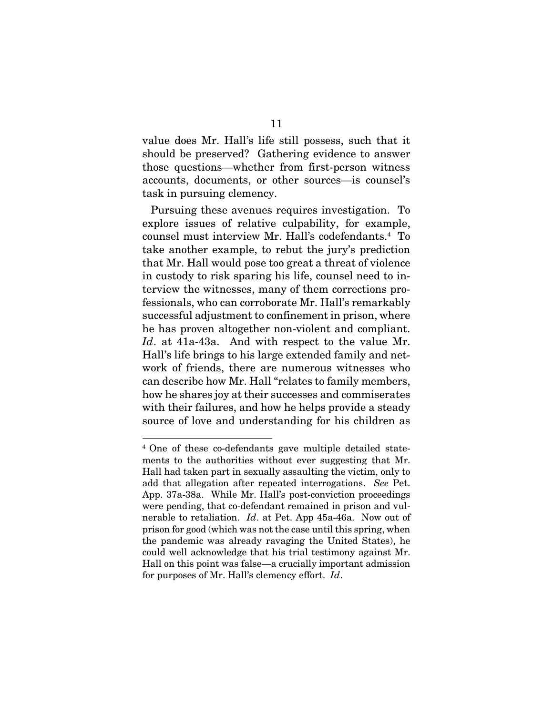value does Mr. Hall's life still possess, such that it should be preserved? Gathering evidence to answer those questions—whether from first-person witness accounts, documents, or other sources—is counsel's task in pursuing clemency.

Pursuing these avenues requires investigation. To explore issues of relative culpability, for example, counsel must interview Mr. Hall's codefendants.<sup>4</sup> To take another example, to rebut the jury's prediction that Mr. Hall would pose too great a threat of violence in custody to risk sparing his life, counsel need to interview the witnesses, many of them corrections professionals, who can corroborate Mr. Hall's remarkably successful adjustment to confinement in prison, where he has proven altogether non-violent and compliant. *Id*. at 41a-43a. And with respect to the value Mr. Hall's life brings to his large extended family and network of friends, there are numerous witnesses who can describe how Mr. Hall "relates to family members, how he shares joy at their successes and commiserates with their failures, and how he helps provide a steady source of love and understanding for his children as

<sup>4</sup> One of these co-defendants gave multiple detailed statements to the authorities without ever suggesting that Mr. Hall had taken part in sexually assaulting the victim, only to add that allegation after repeated interrogations. *See* Pet. App. 37a-38a. While Mr. Hall's post-conviction proceedings were pending, that co-defendant remained in prison and vulnerable to retaliation. *Id*. at Pet. App 45a-46a. Now out of prison for good (which was not the case until this spring, when the pandemic was already ravaging the United States), he could well acknowledge that his trial testimony against Mr. Hall on this point was false—a crucially important admission for purposes of Mr. Hall's clemency effort. *Id*.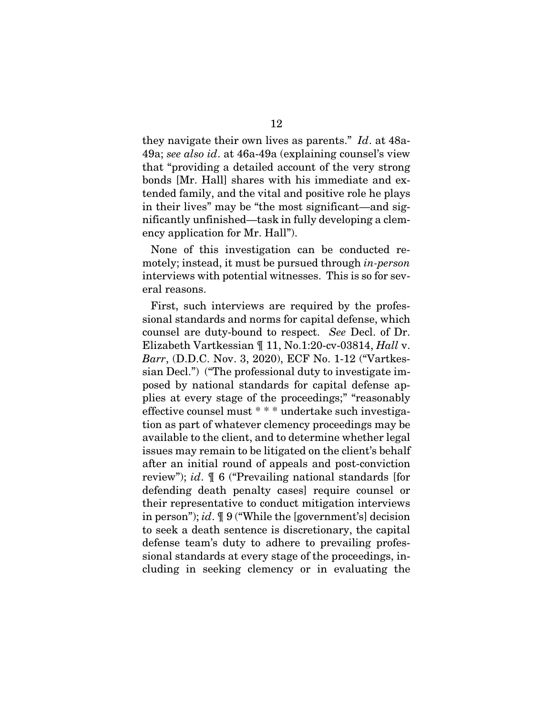they navigate their own lives as parents." *Id*. at 48a-49a; *see also id*. at 46a-49a (explaining counsel's view that "providing a detailed account of the very strong bonds [Mr. Hall] shares with his immediate and extended family, and the vital and positive role he plays in their lives" may be "the most significant—and significantly unfinished—task in fully developing a clemency application for Mr. Hall").

None of this investigation can be conducted remotely; instead, it must be pursued through *in-person* interviews with potential witnesses. This is so for several reasons.

First, such interviews are required by the professional standards and norms for capital defense, which counsel are duty-bound to respect. *See* Decl. of Dr. Elizabeth Vartkessian ¶ 11, No.1:20-cv-03814, *Hall* v. *Barr*, (D.D.C. Nov. 3, 2020), ECF No. 1-12 ("Vartkessian Decl.") ("The professional duty to investigate imposed by national standards for capital defense applies at every stage of the proceedings;" "reasonably effective counsel must \* \* \* undertake such investigation as part of whatever clemency proceedings may be available to the client, and to determine whether legal issues may remain to be litigated on the client's behalf after an initial round of appeals and post-conviction review"); *id*. ¶ 6 ("Prevailing national standards [for defending death penalty cases] require counsel or their representative to conduct mitigation interviews in person"); *id*. ¶ 9 ("While the [government's] decision to seek a death sentence is discretionary, the capital defense team's duty to adhere to prevailing professional standards at every stage of the proceedings, including in seeking clemency or in evaluating the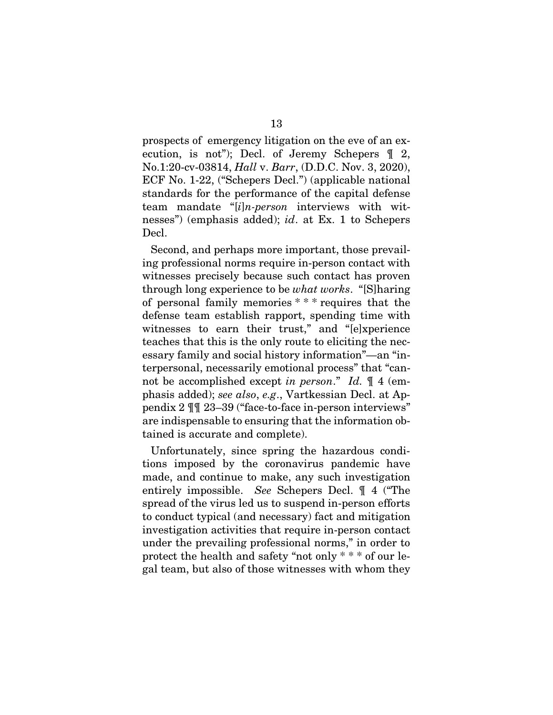prospects of emergency litigation on the eve of an execution, is not"); Decl. of Jeremy Schepers ¶ 2, No.1:20-cv-03814, *Hall* v. *Barr*, (D.D.C. Nov. 3, 2020), ECF No. 1-22, ("Schepers Decl.") (applicable national standards for the performance of the capital defense team mandate "[*i*]*n-person* interviews with witnesses") (emphasis added); *id*. at Ex. 1 to Schepers Decl.

Second, and perhaps more important, those prevailing professional norms require in-person contact with witnesses precisely because such contact has proven through long experience to be *what works*. "[S]haring of personal family memories \* \* \* requires that the defense team establish rapport, spending time with witnesses to earn their trust," and "[e]xperience teaches that this is the only route to eliciting the necessary family and social history information"—an "interpersonal, necessarily emotional process" that "cannot be accomplished except *in person*." *Id.* ¶ 4 (emphasis added); *see also*, *e.g*., Vartkessian Decl. at Appendix 2 ¶¶ 23–39 ("face-to-face in-person interviews" are indispensable to ensuring that the information obtained is accurate and complete).

Unfortunately, since spring the hazardous conditions imposed by the coronavirus pandemic have made, and continue to make, any such investigation entirely impossible. *See* Schepers Decl. ¶ 4 ("The spread of the virus led us to suspend in-person efforts to conduct typical (and necessary) fact and mitigation investigation activities that require in-person contact under the prevailing professional norms," in order to protect the health and safety "not only \* \* \* of our legal team, but also of those witnesses with whom they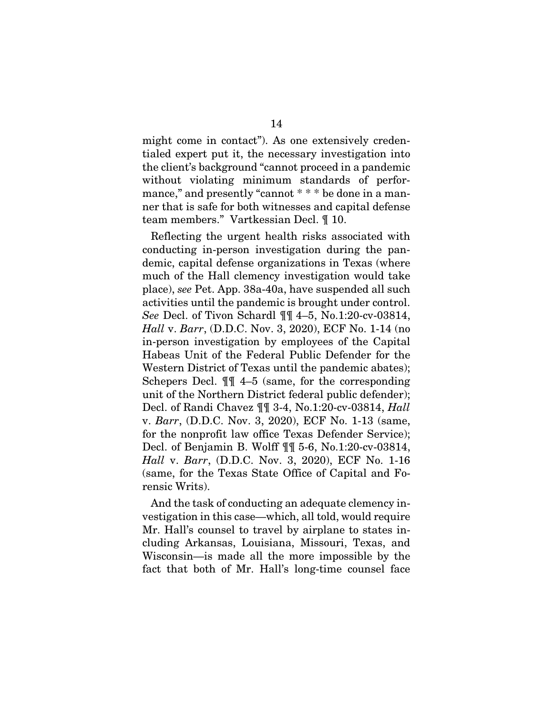might come in contact"). As one extensively credentialed expert put it, the necessary investigation into the client's background "cannot proceed in a pandemic without violating minimum standards of performance," and presently "cannot \* \* \* be done in a manner that is safe for both witnesses and capital defense team members." Vartkessian Decl. ¶ 10.

Reflecting the urgent health risks associated with conducting in-person investigation during the pandemic, capital defense organizations in Texas (where much of the Hall clemency investigation would take place), *see* Pet. App. 38a-40a, have suspended all such activities until the pandemic is brought under control. *See* Decl. of Tivon Schardl ¶¶ 4–5, No.1:20-cv-03814, *Hall* v. *Barr*, (D.D.C. Nov. 3, 2020), ECF No. 1-14 (no in-person investigation by employees of the Capital Habeas Unit of the Federal Public Defender for the Western District of Texas until the pandemic abates); Schepers Decl. ¶¶ 4–5 (same, for the corresponding unit of the Northern District federal public defender); Decl. of Randi Chavez ¶¶ 3-4, No.1:20-cv-03814, *Hall*  v. *Barr*, (D.D.C. Nov. 3, 2020), ECF No. 1-13 (same, for the nonprofit law office Texas Defender Service); Decl. of Benjamin B. Wolff ¶¶ 5-6, No.1:20-cv-03814, *Hall* v. *Barr*, (D.D.C. Nov. 3, 2020), ECF No. 1-16 (same, for the Texas State Office of Capital and Forensic Writs).

And the task of conducting an adequate clemency investigation in this case—which, all told, would require Mr. Hall's counsel to travel by airplane to states including Arkansas, Louisiana, Missouri, Texas, and Wisconsin—is made all the more impossible by the fact that both of Mr. Hall's long-time counsel face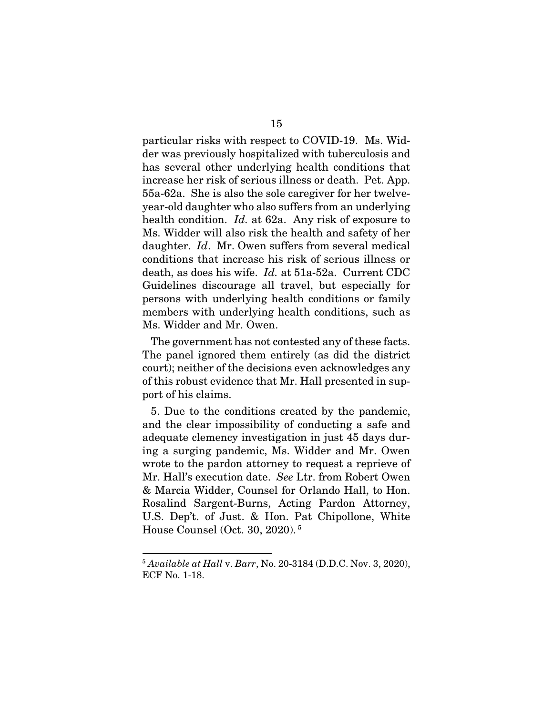particular risks with respect to COVID-19. Ms. Widder was previously hospitalized with tuberculosis and has several other underlying health conditions that increase her risk of serious illness or death. Pet. App. 55a-62a. She is also the sole caregiver for her twelveyear-old daughter who also suffers from an underlying health condition. *Id.* at 62a. Any risk of exposure to Ms. Widder will also risk the health and safety of her daughter. *Id*. Mr. Owen suffers from several medical conditions that increase his risk of serious illness or death, as does his wife. *Id.* at 51a-52a. Current CDC Guidelines discourage all travel, but especially for persons with underlying health conditions or family members with underlying health conditions, such as Ms. Widder and Mr. Owen.

The government has not contested any of these facts. The panel ignored them entirely (as did the district court); neither of the decisions even acknowledges any of this robust evidence that Mr. Hall presented in support of his claims.

5. Due to the conditions created by the pandemic, and the clear impossibility of conducting a safe and adequate clemency investigation in just 45 days during a surging pandemic, Ms. Widder and Mr. Owen wrote to the pardon attorney to request a reprieve of Mr. Hall's execution date. *See* Ltr. from Robert Owen & Marcia Widder, Counsel for Orlando Hall, to Hon. Rosalind Sargent-Burns, Acting Pardon Attorney, U.S. Dep't. of Just. & Hon. Pat Chipollone, White House Counsel (Oct. 30, 2020).<sup>5</sup>

<sup>5</sup> *Available at Hall* v. *Barr*, No. 20-3184 (D.D.C. Nov. 3, 2020), ECF No. 1-18.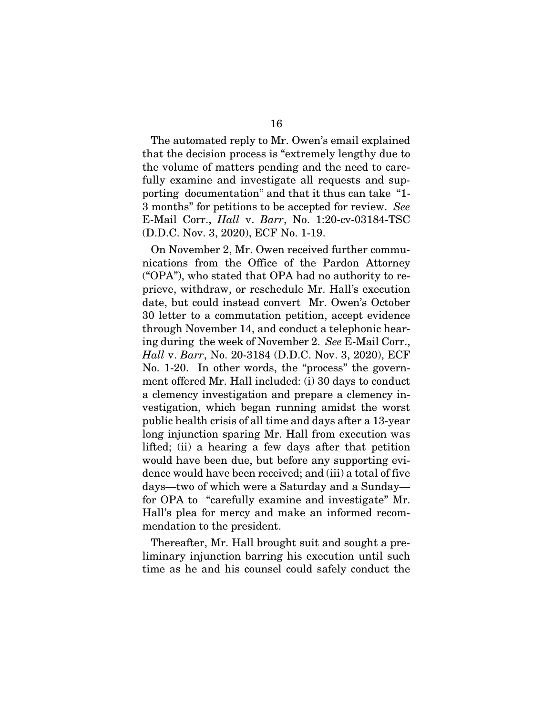The automated reply to Mr. Owen's email explained that the decision process is "extremely lengthy due to the volume of matters pending and the need to carefully examine and investigate all requests and supporting documentation" and that it thus can take "1- 3 months" for petitions to be accepted for review. *See* E-Mail Corr., *Hall* v. *Barr*, No. 1:20-cv-03184-TSC (D.D.C. Nov. 3, 2020), ECF No. 1-19.

On November 2, Mr. Owen received further communications from the Office of the Pardon Attorney ("OPA"), who stated that OPA had no authority to reprieve, withdraw, or reschedule Mr. Hall's execution date, but could instead convert Mr. Owen's October 30 letter to a commutation petition, accept evidence through November 14, and conduct a telephonic hearing during the week of November 2. *See* E-Mail Corr., *Hall* v. *Barr*, No. 20-3184 (D.D.C. Nov. 3, 2020), ECF No. 1-20. In other words, the "process" the government offered Mr. Hall included: (i) 30 days to conduct a clemency investigation and prepare a clemency investigation, which began running amidst the worst public health crisis of all time and days after a 13-year long injunction sparing Mr. Hall from execution was lifted; (ii) a hearing a few days after that petition would have been due, but before any supporting evidence would have been received; and (iii) a total of five days—two of which were a Saturday and a Sunday for OPA to "carefully examine and investigate" Mr. Hall's plea for mercy and make an informed recommendation to the president.

Thereafter, Mr. Hall brought suit and sought a preliminary injunction barring his execution until such time as he and his counsel could safely conduct the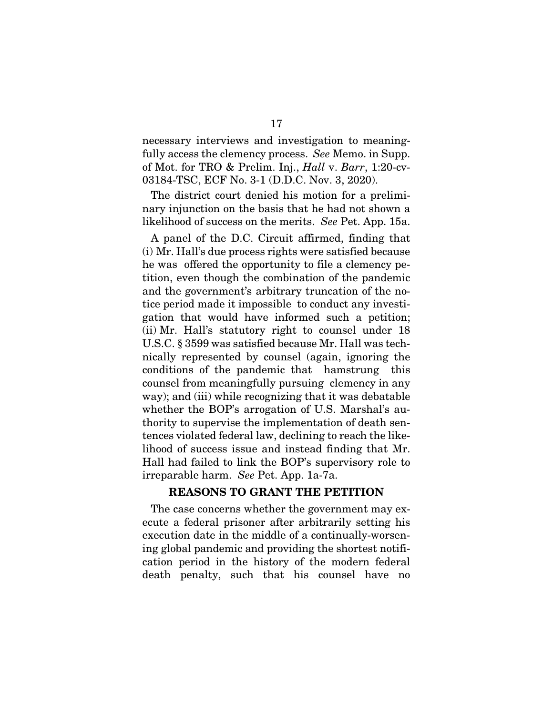necessary interviews and investigation to meaningfully access the clemency process. *See* Memo. in Supp. of Mot. for TRO & Prelim. Inj., *Hall* v. *Barr*, 1:20-cv-03184-TSC, ECF No. 3-1 (D.D.C. Nov. 3, 2020).

The district court denied his motion for a preliminary injunction on the basis that he had not shown a likelihood of success on the merits. *See* Pet. App. 15a.

A panel of the D.C. Circuit affirmed, finding that (i) Mr. Hall's due process rights were satisfied because he was offered the opportunity to file a clemency petition, even though the combination of the pandemic and the government's arbitrary truncation of the notice period made it impossible to conduct any investigation that would have informed such a petition; (ii) Mr. Hall's statutory right to counsel under 18 U.S.C. § 3599 was satisfied because Mr. Hall was technically represented by counsel (again, ignoring the conditions of the pandemic that hamstrung this counsel from meaningfully pursuing clemency in any way); and (iii) while recognizing that it was debatable whether the BOP's arrogation of U.S. Marshal's authority to supervise the implementation of death sentences violated federal law, declining to reach the likelihood of success issue and instead finding that Mr. Hall had failed to link the BOP's supervisory role to irreparable harm. *See* Pet. App. 1a-7a.

#### REASONS TO GRANT THE PETITION

The case concerns whether the government may execute a federal prisoner after arbitrarily setting his execution date in the middle of a continually-worsening global pandemic and providing the shortest notification period in the history of the modern federal death penalty, such that his counsel have no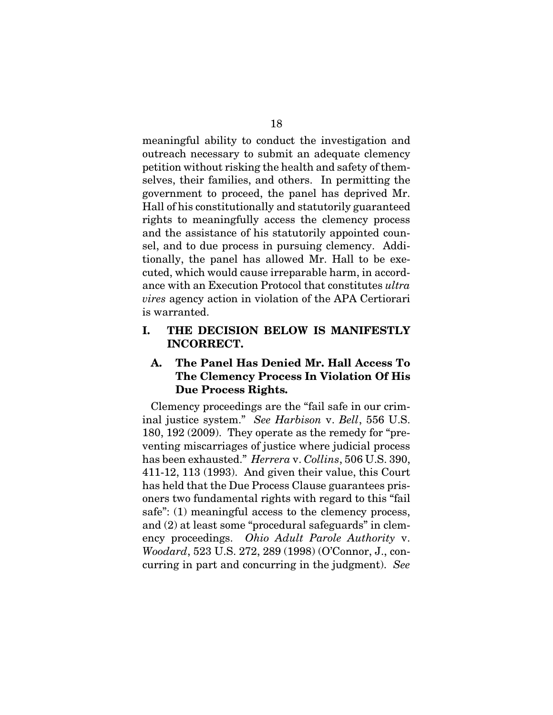meaningful ability to conduct the investigation and outreach necessary to submit an adequate clemency petition without risking the health and safety of themselves, their families, and others. In permitting the government to proceed, the panel has deprived Mr. Hall of his constitutionally and statutorily guaranteed rights to meaningfully access the clemency process and the assistance of his statutorily appointed counsel, and to due process in pursuing clemency. Additionally, the panel has allowed Mr. Hall to be executed, which would cause irreparable harm, in accordance with an Execution Protocol that constitutes *ultra vires* agency action in violation of the APA Certiorari is warranted.

#### I. THE DECISION BELOW IS MANIFESTLY INCORRECT.

#### A. The Panel Has Denied Mr. Hall Access To The Clemency Process In Violation Of His Due Process Rights.

Clemency proceedings are the "fail safe in our criminal justice system." *See Harbison* v. *Bell*, 556 U.S. 180, 192 (2009). They operate as the remedy for "preventing miscarriages of justice where judicial process has been exhausted." *Herrera* v. *Collins*, 506 U.S. 390, 411-12, 113 (1993). And given their value, this Court has held that the Due Process Clause guarantees prisoners two fundamental rights with regard to this "fail safe": (1) meaningful access to the clemency process, and (2) at least some "procedural safeguards" in clemency proceedings. *Ohio Adult Parole Authority* v. *Woodard*, 523 U.S. 272, 289 (1998) (O'Connor, J., concurring in part and concurring in the judgment). *See*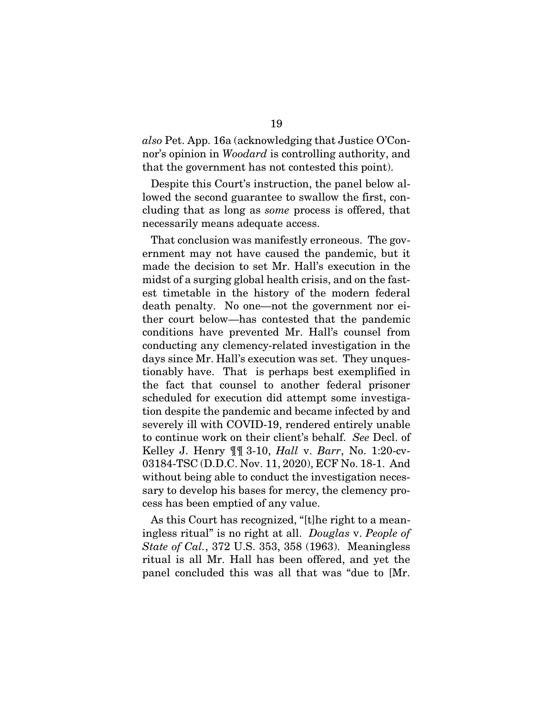*also* Pet. App. 16a (acknowledging that Justice O'Connor's opinion in *Woodard* is controlling authority, and that the government has not contested this point).

Despite this Court's instruction, the panel below allowed the second guarantee to swallow the first, concluding that as long as *some* process is offered, that necessarily means adequate access.

That conclusion was manifestly erroneous. The government may not have caused the pandemic, but it made the decision to set Mr. Hall's execution in the midst of a surging global health crisis, and on the fastest timetable in the history of the modern federal death penalty. No one—not the government nor either court below—has contested that the pandemic conditions have prevented Mr. Hall's counsel from conducting any clemency-related investigation in the days since Mr. Hall's execution was set. They unquestionably have. That is perhaps best exemplified in the fact that counsel to another federal prisoner scheduled for execution did attempt some investigation despite the pandemic and became infected by and severely ill with COVID-19, rendered entirely unable to continue work on their client's behalf. *See* Decl. of Kelley J. Henry ¶¶ 3-10, *Hall* v. *Barr*, No. 1:20-cv-03184-TSC (D.D.C. Nov. 11, 2020), ECF No. 18-1. And without being able to conduct the investigation necessary to develop his bases for mercy, the clemency process has been emptied of any value.

As this Court has recognized, "[t]he right to a meaningless ritual" is no right at all. *Douglas* v. *People of State of Cal.*, 372 U.S. 353, 358 (1963). Meaningless ritual is all Mr. Hall has been offered, and yet the panel concluded this was all that was "due to [Mr.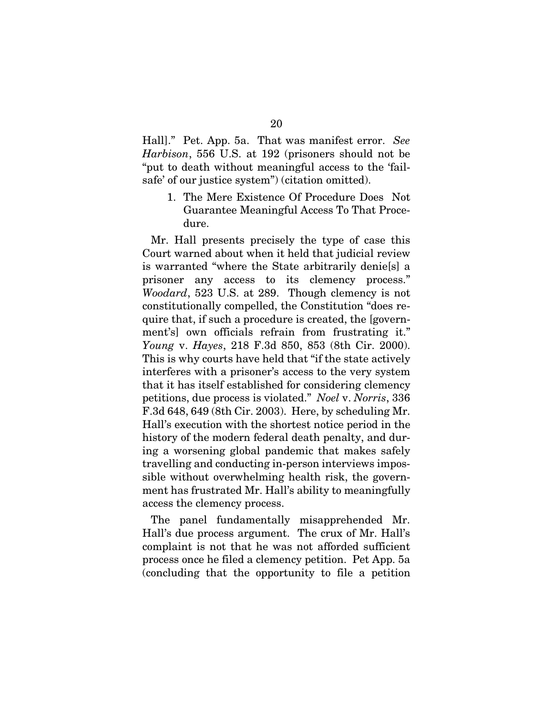Hall]." Pet. App. 5a. That was manifest error. *See Harbison*, 556 U.S. at 192 (prisoners should not be "put to death without meaningful access to the 'failsafe' of our justice system") (citation omitted).

1. The Mere Existence Of Procedure Does Not Guarantee Meaningful Access To That Procedure.

Mr. Hall presents precisely the type of case this Court warned about when it held that judicial review is warranted "where the State arbitrarily denie[s] a prisoner any access to its clemency process." *Woodard*, 523 U.S. at 289. Though clemency is not constitutionally compelled, the Constitution "does require that, if such a procedure is created, the [government's] own officials refrain from frustrating it." *Young* v. *Hayes*, 218 F.3d 850, 853 (8th Cir. 2000). This is why courts have held that "if the state actively interferes with a prisoner's access to the very system that it has itself established for considering clemency petitions, due process is violated." *Noel* v. *Norris*, 336 F.3d 648, 649 (8th Cir. 2003). Here, by scheduling Mr. Hall's execution with the shortest notice period in the history of the modern federal death penalty, and during a worsening global pandemic that makes safely travelling and conducting in-person interviews impossible without overwhelming health risk, the government has frustrated Mr. Hall's ability to meaningfully access the clemency process.

The panel fundamentally misapprehended Mr. Hall's due process argument. The crux of Mr. Hall's complaint is not that he was not afforded sufficient process once he filed a clemency petition. Pet App. 5a (concluding that the opportunity to file a petition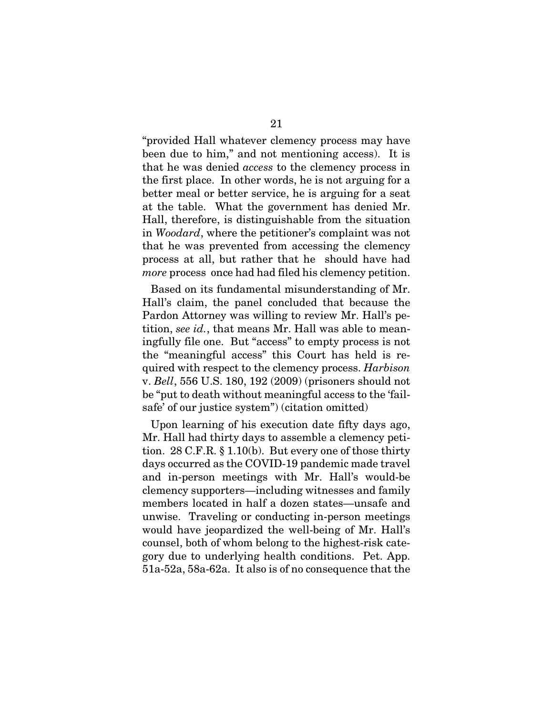"provided Hall whatever clemency process may have been due to him," and not mentioning access). It is that he was denied *access* to the clemency process in the first place. In other words, he is not arguing for a better meal or better service, he is arguing for a seat at the table. What the government has denied Mr. Hall, therefore, is distinguishable from the situation in *Woodard*, where the petitioner's complaint was not that he was prevented from accessing the clemency process at all, but rather that he should have had *more* process once had had filed his clemency petition.

Based on its fundamental misunderstanding of Mr. Hall's claim, the panel concluded that because the Pardon Attorney was willing to review Mr. Hall's petition, *see id.*, that means Mr. Hall was able to meaningfully file one. But "access" to empty process is not the "meaningful access" this Court has held is required with respect to the clemency process. *Harbison*  v. *Bell*, 556 U.S. 180, 192 (2009) (prisoners should not be "put to death without meaningful access to the 'failsafe' of our justice system") (citation omitted)

Upon learning of his execution date fifty days ago, Mr. Hall had thirty days to assemble a clemency petition. 28 C.F.R. § 1.10(b). But every one of those thirty days occurred as the COVID-19 pandemic made travel and in-person meetings with Mr. Hall's would-be clemency supporters—including witnesses and family members located in half a dozen states—unsafe and unwise. Traveling or conducting in-person meetings would have jeopardized the well-being of Mr. Hall's counsel, both of whom belong to the highest-risk category due to underlying health conditions. Pet. App. 51a-52a, 58a-62a. It also is of no consequence that the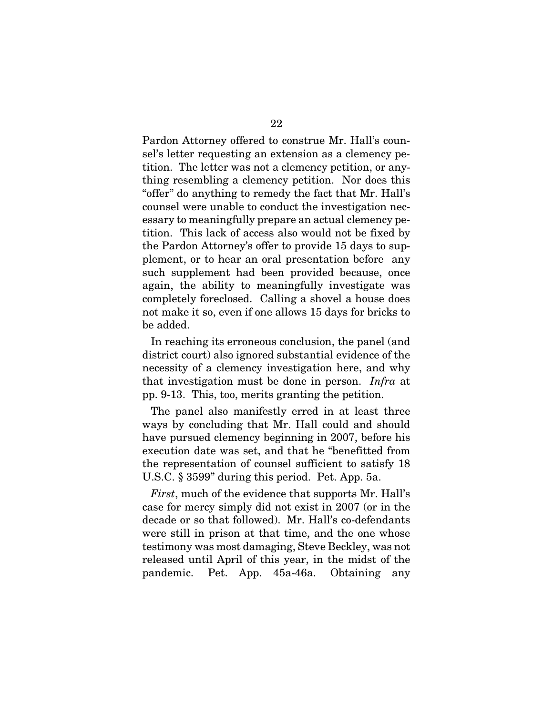Pardon Attorney offered to construe Mr. Hall's counsel's letter requesting an extension as a clemency petition. The letter was not a clemency petition, or anything resembling a clemency petition. Nor does this "offer" do anything to remedy the fact that Mr. Hall's counsel were unable to conduct the investigation necessary to meaningfully prepare an actual clemency petition. This lack of access also would not be fixed by the Pardon Attorney's offer to provide 15 days to supplement, or to hear an oral presentation before any such supplement had been provided because, once again, the ability to meaningfully investigate was completely foreclosed. Calling a shovel a house does not make it so, even if one allows 15 days for bricks to be added.

In reaching its erroneous conclusion, the panel (and district court) also ignored substantial evidence of the necessity of a clemency investigation here, and why that investigation must be done in person. *Infra* at pp. 9-13. This, too, merits granting the petition.

The panel also manifestly erred in at least three ways by concluding that Mr. Hall could and should have pursued clemency beginning in 2007, before his execution date was set, and that he "benefitted from the representation of counsel sufficient to satisfy 18 U.S.C. § 3599" during this period. Pet. App. 5a.

*First*, much of the evidence that supports Mr. Hall's case for mercy simply did not exist in 2007 (or in the decade or so that followed). Mr. Hall's co-defendants were still in prison at that time, and the one whose testimony was most damaging, Steve Beckley, was not released until April of this year, in the midst of the pandemic. Pet. App. 45a-46a. Obtaining any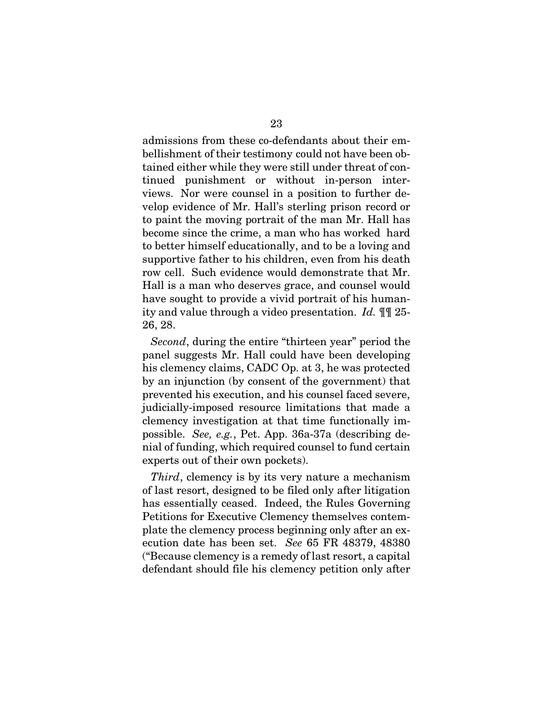admissions from these co-defendants about their embellishment of their testimony could not have been obtained either while they were still under threat of continued punishment or without in-person interviews. Nor were counsel in a position to further develop evidence of Mr. Hall's sterling prison record or to paint the moving portrait of the man Mr. Hall has become since the crime, a man who has worked hard to better himself educationally, and to be a loving and supportive father to his children, even from his death row cell. Such evidence would demonstrate that Mr. Hall is a man who deserves grace, and counsel would have sought to provide a vivid portrait of his humanity and value through a video presentation. *Id.* ¶¶ 25- 26, 28.

*Second*, during the entire "thirteen year" period the panel suggests Mr. Hall could have been developing his clemency claims, CADC Op. at 3, he was protected by an injunction (by consent of the government) that prevented his execution, and his counsel faced severe, judicially-imposed resource limitations that made a clemency investigation at that time functionally impossible. *See, e.g.*, Pet. App. 36a-37a (describing denial of funding, which required counsel to fund certain experts out of their own pockets).

*Third*, clemency is by its very nature a mechanism of last resort, designed to be filed only after litigation has essentially ceased. Indeed, the Rules Governing Petitions for Executive Clemency themselves contemplate the clemency process beginning only after an execution date has been set. *See* 65 FR 48379, 48380 ("Because clemency is a remedy of last resort, a capital defendant should file his clemency petition only after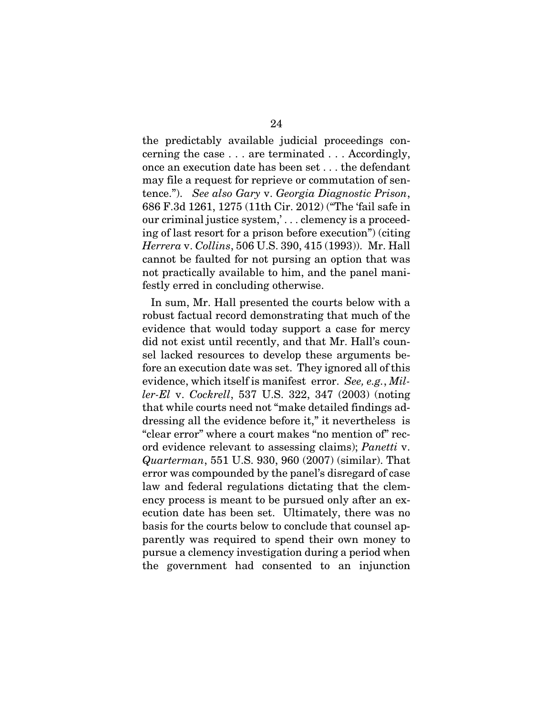the predictably available judicial proceedings concerning the case . . . are terminated . . . Accordingly, once an execution date has been set . . . the defendant may file a request for reprieve or commutation of sentence."). *See also Gary* v. *Georgia Diagnostic Prison*, 686 F.3d 1261, 1275 (11th Cir. 2012) ("The 'fail safe in our criminal justice system,' . . . clemency is a proceeding of last resort for a prison before execution") (citing *Herrera* v. *Collins*, 506 U.S. 390, 415 (1993)). Mr. Hall cannot be faulted for not pursing an option that was not practically available to him, and the panel manifestly erred in concluding otherwise.

In sum, Mr. Hall presented the courts below with a robust factual record demonstrating that much of the evidence that would today support a case for mercy did not exist until recently, and that Mr. Hall's counsel lacked resources to develop these arguments before an execution date was set. They ignored all of this evidence, which itself is manifest error. *See, e.g.*, *Miller-El* v. *Cockrell*, 537 U.S. 322, 347 (2003) (noting that while courts need not "make detailed findings addressing all the evidence before it," it nevertheless is "clear error" where a court makes "no mention of" record evidence relevant to assessing claims); *Panetti* v. *Quarterman*, 551 U.S. 930, 960 (2007) (similar). That error was compounded by the panel's disregard of case law and federal regulations dictating that the clemency process is meant to be pursued only after an execution date has been set. Ultimately, there was no basis for the courts below to conclude that counsel apparently was required to spend their own money to pursue a clemency investigation during a period when the government had consented to an injunction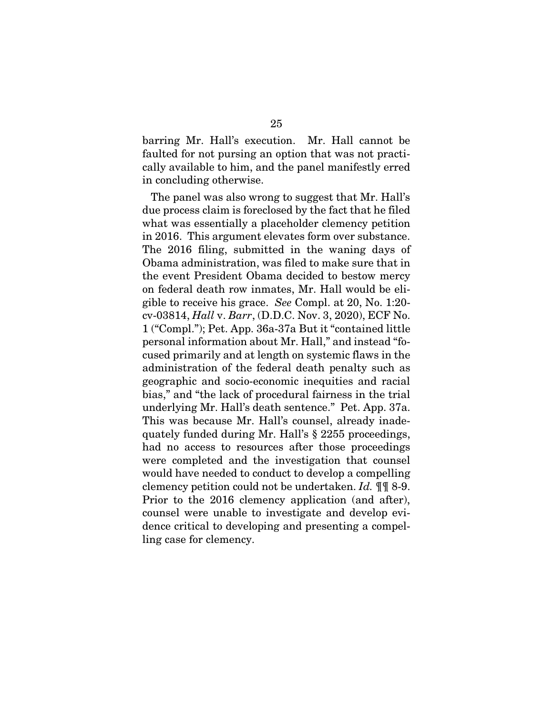barring Mr. Hall's execution. Mr. Hall cannot be faulted for not pursing an option that was not practically available to him, and the panel manifestly erred in concluding otherwise.

The panel was also wrong to suggest that Mr. Hall's due process claim is foreclosed by the fact that he filed what was essentially a placeholder clemency petition in 2016. This argument elevates form over substance. The 2016 filing, submitted in the waning days of Obama administration, was filed to make sure that in the event President Obama decided to bestow mercy on federal death row inmates, Mr. Hall would be eligible to receive his grace. *See* Compl. at 20, No. 1:20 cv-03814, *Hall* v. *Barr*, (D.D.C. Nov. 3, 2020), ECF No. 1 ("Compl."); Pet. App. 36a-37a But it "contained little personal information about Mr. Hall," and instead "focused primarily and at length on systemic flaws in the administration of the federal death penalty such as geographic and socio-economic inequities and racial bias," and "the lack of procedural fairness in the trial underlying Mr. Hall's death sentence." Pet. App. 37a. This was because Mr. Hall's counsel, already inadequately funded during Mr. Hall's § 2255 proceedings, had no access to resources after those proceedings were completed and the investigation that counsel would have needed to conduct to develop a compelling clemency petition could not be undertaken. *Id.* ¶¶ 8-9. Prior to the 2016 clemency application (and after), counsel were unable to investigate and develop evidence critical to developing and presenting a compelling case for clemency.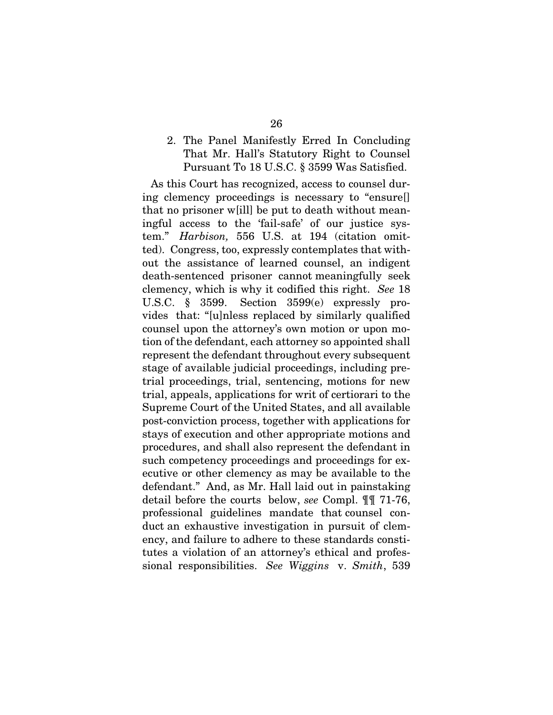#### 2. The Panel Manifestly Erred In Concluding That Mr. Hall's Statutory Right to Counsel Pursuant To 18 U.S.C. § 3599 Was Satisfied.

As this Court has recognized, access to counsel during clemency proceedings is necessary to "ensure[] that no prisoner w[ill] be put to death without meaningful access to the 'fail-safe' of our justice system." *Harbison,* 556 U.S. at 194 (citation omitted). Congress, too, expressly contemplates that without the assistance of learned counsel, an indigent death-sentenced prisoner cannot meaningfully seek clemency, which is why it codified this right. *See* 18 U.S.C. § 3599. Section 3599(e) expressly provides that: "[u]nless replaced by similarly qualified counsel upon the attorney's own motion or upon motion of the defendant, each attorney so appointed shall represent the defendant throughout every subsequent stage of available judicial proceedings, including pretrial proceedings, trial, sentencing, motions for new trial, appeals, applications for writ of certiorari to the Supreme Court of the United States, and all available post-conviction process, together with applications for stays of execution and other appropriate motions and procedures, and shall also represent the defendant in such competency proceedings and proceedings for executive or other clemency as may be available to the defendant." And, as Mr. Hall laid out in painstaking detail before the courts below, *see* Compl. ¶¶ 71-76, professional guidelines mandate that counsel conduct an exhaustive investigation in pursuit of clemency, and failure to adhere to these standards constitutes a violation of an attorney's ethical and professional responsibilities. *See Wiggins* v. *Smith*, 539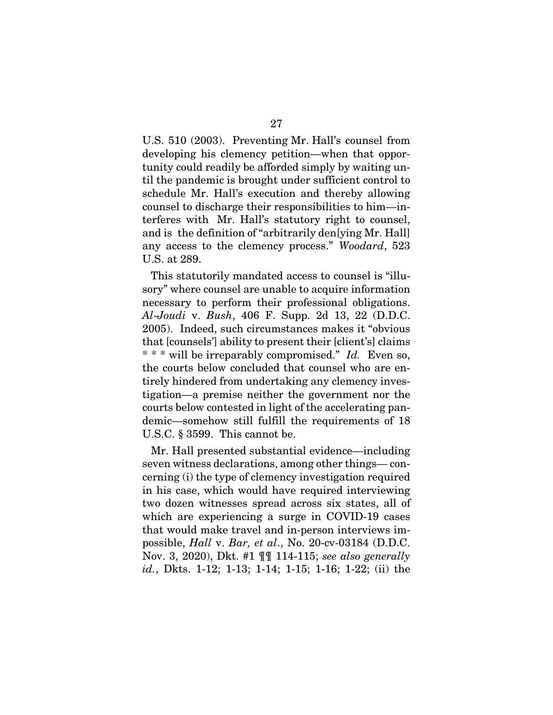U.S. 510 (2003). Preventing Mr. Hall's counsel from developing his clemency petition—when that opportunity could readily be afforded simply by waiting until the pandemic is brought under sufficient control to schedule Mr. Hall's execution and thereby allowing counsel to discharge their responsibilities to him—interferes with Mr. Hall's statutory right to counsel, and is the definition of "arbitrarily den[ying Mr. Hall] any access to the clemency process." *Woodard*, 523 U.S. at 289.

This statutorily mandated access to counsel is "illusory" where counsel are unable to acquire information necessary to perform their professional obligations. *Al*-*Joudi* v. *Bush*, 406 F. Supp. 2d 13, 22 (D.D.C. 2005). Indeed, such circumstances makes it "obvious that [counsels'] ability to present their [client's] claims \* \* \* will be irreparably compromised." *Id.* Even so, the courts below concluded that counsel who are entirely hindered from undertaking any clemency investigation—a premise neither the government nor the courts below contested in light of the accelerating pandemic—somehow still fulfill the requirements of 18 U.S.C. § 3599. This cannot be.

Mr. Hall presented substantial evidence—including seven witness declarations, among other things— concerning (i) the type of clemency investigation required in his case, which would have required interviewing two dozen witnesses spread across six states, all of which are experiencing a surge in COVID-19 cases that would make travel and in-person interviews impossible, *Hall* v. *Bar, et al*., No. 20-cv-03184 (D.D.C. Nov. 3, 2020), Dkt. #1 ¶¶ 114-115; *see also generally id.*, Dkts. 1-12; 1-13; 1-14; 1-15; 1-16; 1-22; (ii) the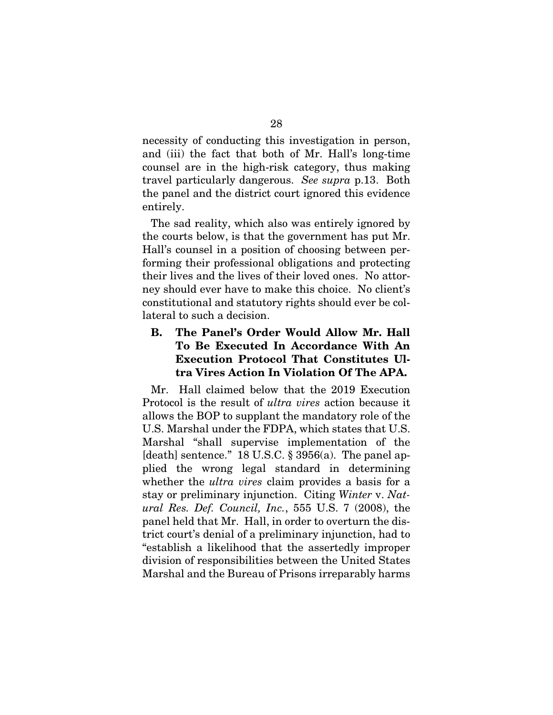necessity of conducting this investigation in person, and (iii) the fact that both of Mr. Hall's long-time counsel are in the high-risk category, thus making travel particularly dangerous. *See supra* p.13. Both the panel and the district court ignored this evidence entirely.

The sad reality, which also was entirely ignored by the courts below, is that the government has put Mr. Hall's counsel in a position of choosing between performing their professional obligations and protecting their lives and the lives of their loved ones. No attorney should ever have to make this choice. No client's constitutional and statutory rights should ever be collateral to such a decision.

## B. The Panel's Order Would Allow Mr. Hall To Be Executed In Accordance With An Execution Protocol That Constitutes Ultra Vires Action In Violation Of The APA.

Mr. Hall claimed below that the 2019 Execution Protocol is the result of *ultra vires* action because it allows the BOP to supplant the mandatory role of the U.S. Marshal under the FDPA, which states that U.S. Marshal "shall supervise implementation of the [death] sentence." 18 U.S.C.  $\S 3956(a)$ . The panel applied the wrong legal standard in determining whether the *ultra vires* claim provides a basis for a stay or preliminary injunction. Citing *Winter* v. *Natural Res. Def. Council, Inc.*, 555 U.S. 7 (2008), the panel held that Mr. Hall, in order to overturn the district court's denial of a preliminary injunction, had to "establish a likelihood that the assertedly improper division of responsibilities between the United States Marshal and the Bureau of Prisons irreparably harms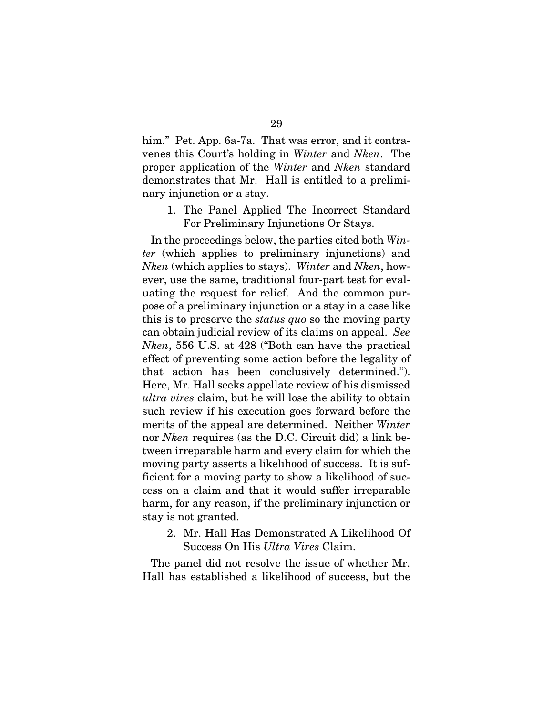him." Pet. App. 6a-7a. That was error, and it contravenes this Court's holding in *Winter* and *Nken*. The proper application of the *Winter* and *Nken* standard demonstrates that Mr. Hall is entitled to a preliminary injunction or a stay.

1. The Panel Applied The Incorrect Standard For Preliminary Injunctions Or Stays.

In the proceedings below, the parties cited both *Winter* (which applies to preliminary injunctions) and *Nken* (which applies to stays). *Winter* and *Nken*, however, use the same, traditional four-part test for evaluating the request for relief. And the common purpose of a preliminary injunction or a stay in a case like this is to preserve the *status quo* so the moving party can obtain judicial review of its claims on appeal. *See Nken*, 556 U.S. at 428 ("Both can have the practical effect of preventing some action before the legality of that action has been conclusively determined."). Here, Mr. Hall seeks appellate review of his dismissed *ultra vires* claim, but he will lose the ability to obtain such review if his execution goes forward before the merits of the appeal are determined. Neither *Winter* nor *Nken* requires (as the D.C. Circuit did) a link between irreparable harm and every claim for which the moving party asserts a likelihood of success. It is sufficient for a moving party to show a likelihood of success on a claim and that it would suffer irreparable harm, for any reason, if the preliminary injunction or stay is not granted.

2. Mr. Hall Has Demonstrated A Likelihood Of Success On His *Ultra Vires* Claim.

The panel did not resolve the issue of whether Mr. Hall has established a likelihood of success, but the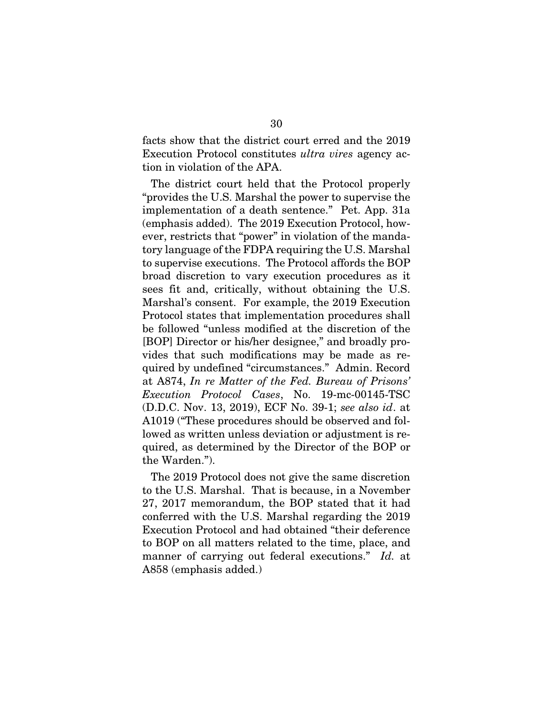facts show that the district court erred and the 2019 Execution Protocol constitutes *ultra vires* agency action in violation of the APA.

The district court held that the Protocol properly "provides the U.S. Marshal the power to supervise the implementation of a death sentence." Pet. App. 31a (emphasis added). The 2019 Execution Protocol, however, restricts that "power" in violation of the mandatory language of the FDPA requiring the U.S. Marshal to supervise executions. The Protocol affords the BOP broad discretion to vary execution procedures as it sees fit and, critically, without obtaining the U.S. Marshal's consent. For example, the 2019 Execution Protocol states that implementation procedures shall be followed "unless modified at the discretion of the [BOP] Director or his/her designee," and broadly provides that such modifications may be made as required by undefined "circumstances." Admin. Record at A874, *In re Matter of the Fed. Bureau of Prisons' Execution Protocol Cases*, No. 19-mc-00145-TSC (D.D.C. Nov. 13, 2019), ECF No. 39-1; *see also id*. at A1019 ("These procedures should be observed and followed as written unless deviation or adjustment is required, as determined by the Director of the BOP or the Warden.").

The 2019 Protocol does not give the same discretion to the U.S. Marshal. That is because, in a November 27, 2017 memorandum, the BOP stated that it had conferred with the U.S. Marshal regarding the 2019 Execution Protocol and had obtained "their deference to BOP on all matters related to the time, place, and manner of carrying out federal executions." *Id.* at A858 (emphasis added.)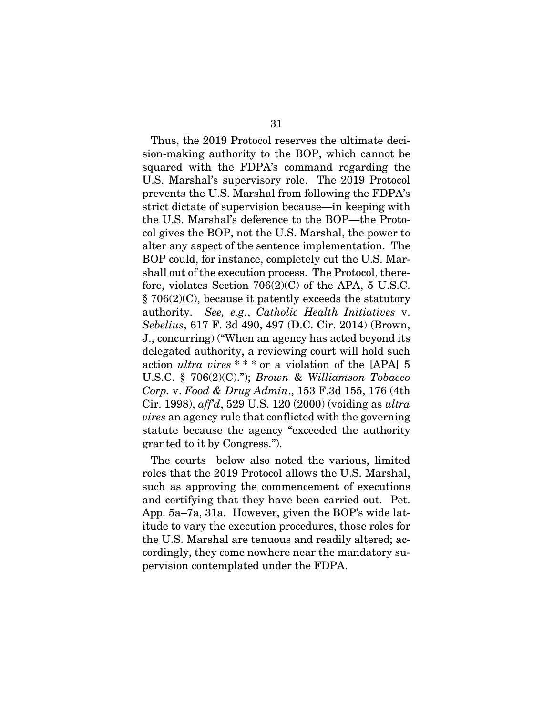Thus, the 2019 Protocol reserves the ultimate decision-making authority to the BOP, which cannot be squared with the FDPA's command regarding the U.S. Marshal's supervisory role. The 2019 Protocol prevents the U.S. Marshal from following the FDPA's strict dictate of supervision because—in keeping with the U.S. Marshal's deference to the BOP—the Protocol gives the BOP, not the U.S. Marshal, the power to alter any aspect of the sentence implementation. The BOP could, for instance, completely cut the U.S. Marshall out of the execution process. The Protocol, therefore, violates Section 706(2)(C) of the APA, 5 U.S.C. § 706(2)(C), because it patently exceeds the statutory authority. *See, e.g.*, *Catholic Health Initiatives* v. *Sebelius*, 617 F. 3d 490, 497 (D.C. Cir. 2014) (Brown, J., concurring) ("When an agency has acted beyond its delegated authority, a reviewing court will hold such action *ultra vires* \* \* \* or a violation of the [APA] 5 U.S.C. § 706(2)(C)."); *Brown* & *Williamson Tobacco Corp.* v. *Food & Drug Admin*., 153 F.3d 155, 176 (4th Cir. 1998), *aff'd*, 529 U.S. 120 (2000) (voiding as *ultra vires* an agency rule that conflicted with the governing statute because the agency "exceeded the authority granted to it by Congress.").

The courts below also noted the various, limited roles that the 2019 Protocol allows the U.S. Marshal, such as approving the commencement of executions and certifying that they have been carried out. Pet. App. 5a–7a, 31a. However, given the BOP's wide latitude to vary the execution procedures, those roles for the U.S. Marshal are tenuous and readily altered; accordingly, they come nowhere near the mandatory supervision contemplated under the FDPA.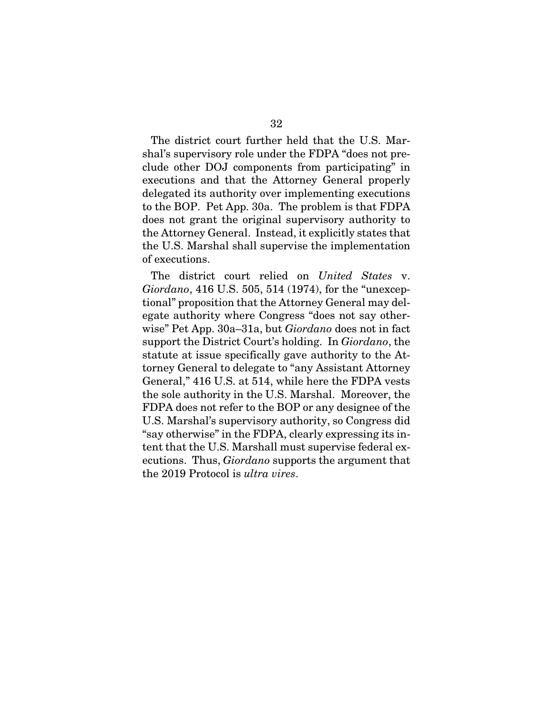The district court further held that the U.S. Marshal's supervisory role under the FDPA "does not preclude other DOJ components from participating" in executions and that the Attorney General properly delegated its authority over implementing executions to the BOP. Pet App. 30a. The problem is that FDPA does not grant the original supervisory authority to the Attorney General. Instead, it explicitly states that the U.S. Marshal shall supervise the implementation of executions.

The district court relied on *United States* v. *Giordano*, 416 U.S. 505, 514 (1974), for the "unexceptional" proposition that the Attorney General may delegate authority where Congress "does not say otherwise" Pet App. 30a–31a, but *Giordano* does not in fact support the District Court's holding. In *Giordano*, the statute at issue specifically gave authority to the Attorney General to delegate to "any Assistant Attorney General," 416 U.S. at 514, while here the FDPA vests the sole authority in the U.S. Marshal. Moreover, the FDPA does not refer to the BOP or any designee of the U.S. Marshal's supervisory authority, so Congress did "say otherwise" in the FDPA, clearly expressing its intent that the U.S. Marshall must supervise federal executions. Thus, *Giordano* supports the argument that the 2019 Protocol is *ultra vires*.